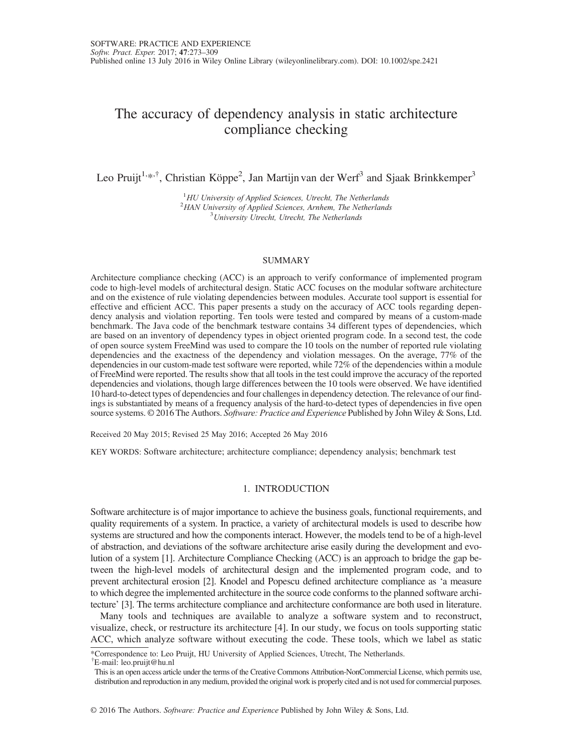# The accuracy of dependency analysis in static architecture compliance checking

Leo Pruijt<sup>1,\*,†</sup>, Christian Köppe<sup>2</sup>, Jan Martijn van der Werf<sup>3</sup> and Sjaak Brinkkemper<sup>3</sup>

<sup>1</sup>HU University of Applied Sciences, Utrecht, The Netherlands <sup>1</sup>HU University of Applied Sciences, Utrecht, The Netherlands<br><sup>2</sup>HAN University of Applied Sciences, Arnhem. The Netherland HAN University of Applied Sciences, Arnhem, The Netherlands<br> $31$ Iniversity Utrecht, Utrecht, The Netherlands  $3$ University Utrecht, Utrecht, The Netherlands

#### SUMMARY

Architecture compliance checking (ACC) is an approach to verify conformance of implemented program code to high-level models of architectural design. Static ACC focuses on the modular software architecture and on the existence of rule violating dependencies between modules. Accurate tool support is essential for effective and efficient ACC. This paper presents a study on the accuracy of ACC tools regarding dependency analysis and violation reporting. Ten tools were tested and compared by means of a custom-made benchmark. The Java code of the benchmark testware contains 34 different types of dependencies, which are based on an inventory of dependency types in object oriented program code. In a second test, the code of open source system FreeMind was used to compare the 10 tools on the number of reported rule violating dependencies and the exactness of the dependency and violation messages. On the average, 77% of the dependencies in our custom-made test software were reported, while 72% of the dependencies within a module of FreeMind were reported. The results show that all tools in the test could improve the accuracy of the reported dependencies and violations, though large differences between the 10 tools were observed. We have identified 10 hard-to-detect types of dependencies and four challenges in dependency detection. The relevance of our findings is substantiated by means of a frequency analysis of the hard-to-detect types of dependencies in five open source systems. © 2016 The Authors. Software: Practice and Experience Published by John Wiley & Sons, Ltd.

Received 20 May 2015; Revised 25 May 2016; Accepted 26 May 2016

KEY WORDS: Software architecture; architecture compliance; dependency analysis; benchmark test

## 1. INTRODUCTION

Software architecture is of major importance to achieve the business goals, functional requirements, and quality requirements of a system. In practice, a variety of architectural models is used to describe how systems are structured and how the components interact. However, the models tend to be of a high-level of abstraction, and deviations of the software architecture arise easily during the development and evolution of a system [1]. Architecture Compliance Checking (ACC) is an approach to bridge the gap between the high-level models of architectural design and the implemented program code, and to prevent architectural erosion [2]. Knodel and Popescu defined architecture compliance as 'a measure to which degree the implemented architecture in the source code conforms to the planned software architecture' [3]. The terms architecture compliance and architecture conformance are both used in literature.

Many tools and techniques are available to analyze a software system and to reconstruct, visualize, check, or restructure its architecture [4]. In our study, we focus on tools supporting static ACC, which analyze software without executing the code. These tools, which we label as static

\*Correspondence to: Leo Pruijt, HU University of Applied Sciences, Utrecht, The Netherlands.

† E-mail: leo.pruijt@hu.nl

This is an open access article under the terms of the [Creative Commons Attribution-NonCommercial](http://creativecommons.org/licenses/by-nc/4.0/) License, which permits use, distribution and reproduction in any medium, provided the original work is properly cited and is not used for commercial purposes.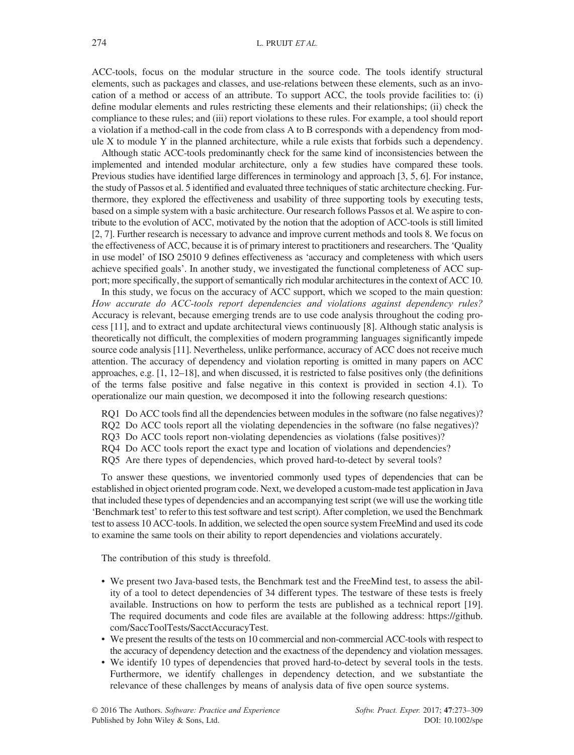ACC-tools, focus on the modular structure in the source code. The tools identify structural elements, such as packages and classes, and use-relations between these elements, such as an invocation of a method or access of an attribute. To support ACC, the tools provide facilities to: (i) define modular elements and rules restricting these elements and their relationships; (ii) check the compliance to these rules; and (iii) report violations to these rules. For example, a tool should report a violation if a method-call in the code from class A to B corresponds with a dependency from module X to module Y in the planned architecture, while a rule exists that forbids such a dependency.

Although static ACC-tools predominantly check for the same kind of inconsistencies between the implemented and intended modular architecture, only a few studies have compared these tools. Previous studies have identified large differences in terminology and approach [3, 5, 6]. For instance, the study of Passos et al. 5 identified and evaluated three techniques of static architecture checking. Furthermore, they explored the effectiveness and usability of three supporting tools by executing tests, based on a simple system with a basic architecture. Our research follows Passos et al. We aspire to contribute to the evolution of ACC, motivated by the notion that the adoption of ACC-tools is still limited [2, 7]. Further research is necessary to advance and improve current methods and tools 8. We focus on the effectiveness of ACC, because it is of primary interest to practitioners and researchers. The 'Quality in use model' of ISO 25010 9 defines effectiveness as 'accuracy and completeness with which users achieve specified goals'. In another study, we investigated the functional completeness of ACC support; more specifically, the support of semantically rich modular architectures in the context of ACC 10.

In this study, we focus on the accuracy of ACC support, which we scoped to the main question: How accurate do ACC-tools report dependencies and violations against dependency rules? Accuracy is relevant, because emerging trends are to use code analysis throughout the coding process [11], and to extract and update architectural views continuously [8]. Although static analysis is theoretically not difficult, the complexities of modern programming languages significantly impede source code analysis [11]. Nevertheless, unlike performance, accuracy of ACC does not receive much attention. The accuracy of dependency and violation reporting is omitted in many papers on ACC approaches, e.g. [1, 12–18], and when discussed, it is restricted to false positives only (the definitions of the terms false positive and false negative in this context is provided in section 4.1). To operationalize our main question, we decomposed it into the following research questions:

- RQ1 Do ACC tools find all the dependencies between modules in the software (no false negatives)?
- RQ2 Do ACC tools report all the violating dependencies in the software (no false negatives)?
- RQ3 Do ACC tools report non-violating dependencies as violations (false positives)?
- RQ4 Do ACC tools report the exact type and location of violations and dependencies?
- RQ5 Are there types of dependencies, which proved hard-to-detect by several tools?

To answer these questions, we inventoried commonly used types of dependencies that can be established in object oriented program code. Next, we developed a custom-made test application in Java that included these types of dependencies and an accompanying test script (we will use the working title 'Benchmark test' to refer to this test software and test script). After completion, we used the Benchmark test to assess 10 ACC-tools. In addition, we selected the open source system FreeMind and used its code to examine the same tools on their ability to report dependencies and violations accurately.

The contribution of this study is threefold.

- We present two Java-based tests, the Benchmark test and the FreeMind test, to assess the ability of a tool to detect dependencies of 34 different types. The testware of these tests is freely available. Instructions on how to perform the tests are published as a technical report [19]. The required documents and code files are available at the following address: [https://github.](https://github.com/SaccToolTests/SacctAccuracyTest) [com/SaccToolTests/SacctAccuracyTest](https://github.com/SaccToolTests/SacctAccuracyTest).
- We present the results of the tests on 10 commercial and non-commercial ACC-tools with respect to the accuracy of dependency detection and the exactness of the dependency and violation messages.
- We identify 10 types of dependencies that proved hard-to-detect by several tools in the tests. Furthermore, we identify challenges in dependency detection, and we substantiate the relevance of these challenges by means of analysis data of five open source systems.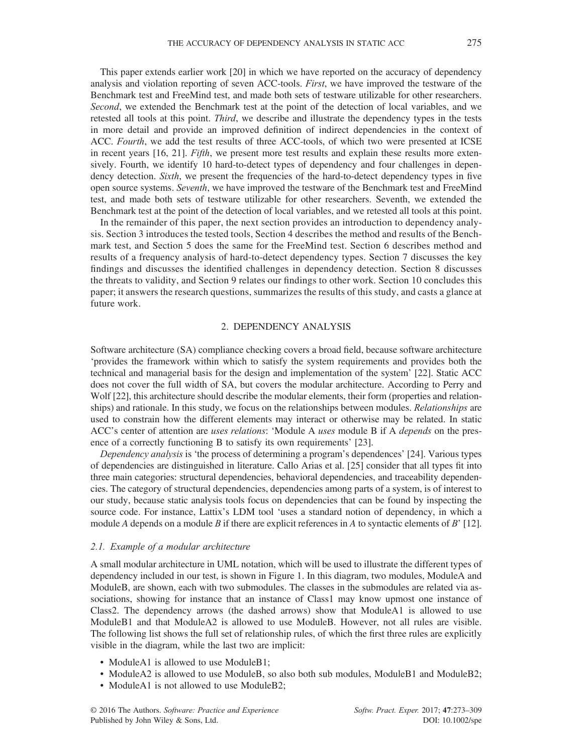This paper extends earlier work [20] in which we have reported on the accuracy of dependency analysis and violation reporting of seven ACC-tools. First, we have improved the testware of the Benchmark test and FreeMind test, and made both sets of testware utilizable for other researchers. Second, we extended the Benchmark test at the point of the detection of local variables, and we retested all tools at this point. *Third*, we describe and illustrate the dependency types in the tests in more detail and provide an improved definition of indirect dependencies in the context of ACC. Fourth, we add the test results of three ACC-tools, of which two were presented at ICSE in recent years [16, 21]. *Fifth*, we present more test results and explain these results more extensively. Fourth, we identify 10 hard-to-detect types of dependency and four challenges in dependency detection. Sixth, we present the frequencies of the hard-to-detect dependency types in five open source systems. Seventh, we have improved the testware of the Benchmark test and FreeMind test, and made both sets of testware utilizable for other researchers. Seventh, we extended the Benchmark test at the point of the detection of local variables, and we retested all tools at this point.

In the remainder of this paper, the next section provides an introduction to dependency analysis. Section 3 introduces the tested tools, Section 4 describes the method and results of the Benchmark test, and Section 5 does the same for the FreeMind test. Section 6 describes method and results of a frequency analysis of hard-to-detect dependency types. Section 7 discusses the key findings and discusses the identified challenges in dependency detection. Section 8 discusses the threats to validity, and Section 9 relates our findings to other work. Section 10 concludes this paper; it answers the research questions, summarizes the results of this study, and casts a glance at future work.

#### 2. DEPENDENCY ANALYSIS

Software architecture (SA) compliance checking covers a broad field, because software architecture 'provides the framework within which to satisfy the system requirements and provides both the technical and managerial basis for the design and implementation of the system' [22]. Static ACC does not cover the full width of SA, but covers the modular architecture. According to Perry and Wolf [22], this architecture should describe the modular elements, their form (properties and relationships) and rationale. In this study, we focus on the relationships between modules. *Relationships* are used to constrain how the different elements may interact or otherwise may be related. In static ACC's center of attention are uses relations: 'Module A uses module B if A depends on the presence of a correctly functioning B to satisfy its own requirements' [23].

Dependency analysis is 'the process of determining a program's dependences' [24]. Various types of dependencies are distinguished in literature. Callo Arias et al. [25] consider that all types fit into three main categories: structural dependencies, behavioral dependencies, and traceability dependencies. The category of structural dependencies, dependencies among parts of a system, is of interest to our study, because static analysis tools focus on dependencies that can be found by inspecting the source code. For instance, Lattix's LDM tool 'uses a standard notion of dependency, in which a module A depends on a module B if there are explicit references in A to syntactic elements of B' [12].

#### 2.1. Example of a modular architecture

A small modular architecture in UML notation, which will be used to illustrate the different types of dependency included in our test, is shown in Figure 1. In this diagram, two modules, ModuleA and ModuleB, are shown, each with two submodules. The classes in the submodules are related via associations, showing for instance that an instance of Class1 may know upmost one instance of Class2. The dependency arrows (the dashed arrows) show that ModuleA1 is allowed to use ModuleB1 and that ModuleA2 is allowed to use ModuleB. However, not all rules are visible. The following list shows the full set of relationship rules, of which the first three rules are explicitly visible in the diagram, while the last two are implicit:

- ModuleA1 is allowed to use ModuleB1:
- ModuleA2 is allowed to use ModuleB, so also both sub modules, ModuleB1 and ModuleB2;
- ModuleA1 is not allowed to use ModuleB2;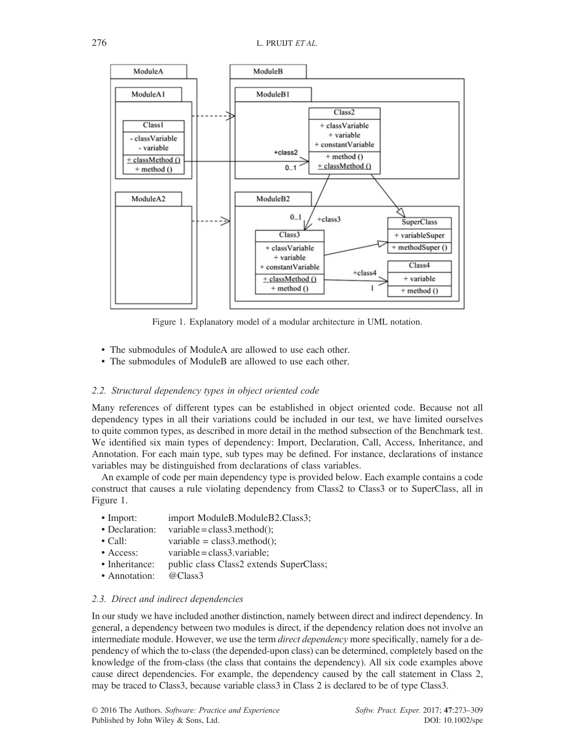

Figure 1. Explanatory model of a modular architecture in UML notation.

- The submodules of ModuleA are allowed to use each other.
- The submodules of ModuleB are allowed to use each other.

## 2.2. Structural dependency types in object oriented code

Many references of different types can be established in object oriented code. Because not all dependency types in all their variations could be included in our test, we have limited ourselves to quite common types, as described in more detail in the method subsection of the Benchmark test. We identified six main types of dependency: Import, Declaration, Call, Access, Inheritance, and Annotation. For each main type, sub types may be defined. For instance, declarations of instance variables may be distinguished from declarations of class variables.

An example of code per main dependency type is provided below. Each example contains a code construct that causes a rule violating dependency from Class2 to Class3 or to SuperClass, all in Figure 1.

- Import: import ModuleB.ModuleB2.Class3;
- Declaration: variable = class3.method();
- Call: variable = class3.method();
- Access: variable = class3.variable;
- Inheritance: public class Class2 extends SuperClass;
- Annotation: @Class3

## 2.3. Direct and indirect dependencies

In our study we have included another distinction, namely between direct and indirect dependency. In general, a dependency between two modules is direct, if the dependency relation does not involve an intermediate module. However, we use the term *direct dependency* more specifically, namely for a dependency of which the to-class (the depended-upon class) can be determined, completely based on the knowledge of the from-class (the class that contains the dependency). All six code examples above cause direct dependencies. For example, the dependency caused by the call statement in Class 2, may be traced to Class3, because variable class3 in Class 2 is declared to be of type Class3.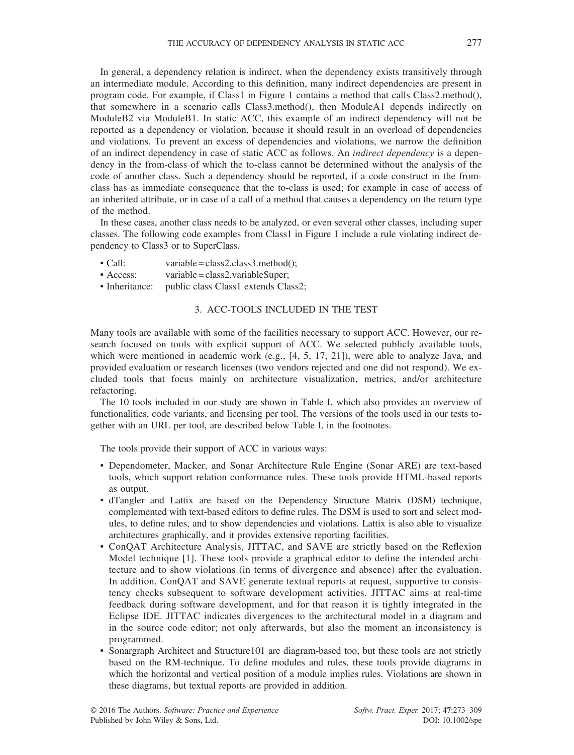In general, a dependency relation is indirect, when the dependency exists transitively through an intermediate module. According to this definition, many indirect dependencies are present in program code. For example, if Class1 in Figure 1 contains a method that calls Class2.method(), that somewhere in a scenario calls Class3.method(), then ModuleA1 depends indirectly on ModuleB2 via ModuleB1. In static ACC, this example of an indirect dependency will not be reported as a dependency or violation, because it should result in an overload of dependencies and violations. To prevent an excess of dependencies and violations, we narrow the definition of an indirect dependency in case of static ACC as follows. An indirect dependency is a dependency in the from-class of which the to-class cannot be determined without the analysis of the code of another class. Such a dependency should be reported, if a code construct in the fromclass has as immediate consequence that the to-class is used; for example in case of access of an inherited attribute, or in case of a call of a method that causes a dependency on the return type of the method.

In these cases, another class needs to be analyzed, or even several other classes, including super classes. The following code examples from Class1 in Figure 1 include a rule violating indirect dependency to Class3 or to SuperClass.

- Call: variable = class2.class3.method();
- Access: variable=class2.variableSuper;<br>• Inheritance: public class Class1 extends Cla
- public class Class1 extends Class2;

## 3. ACC-TOOLS INCLUDED IN THE TEST

Many tools are available with some of the facilities necessary to support ACC. However, our research focused on tools with explicit support of ACC. We selected publicly available tools, which were mentioned in academic work (e.g., [4, 5, 17, 21]), were able to analyze Java, and provided evaluation or research licenses (two vendors rejected and one did not respond). We excluded tools that focus mainly on architecture visualization, metrics, and/or architecture refactoring.

The 10 tools included in our study are shown in Table I, which also provides an overview of functionalities, code variants, and licensing per tool. The versions of the tools used in our tests together with an URL per tool, are described below Table I, in the footnotes.

The tools provide their support of ACC in various ways:

- Dependometer, Macker, and Sonar Architecture Rule Engine (Sonar ARE) are text-based tools, which support relation conformance rules. These tools provide HTML-based reports as output.
- dTangler and Lattix are based on the Dependency Structure Matrix (DSM) technique, complemented with text-based editors to define rules. The DSM is used to sort and select modules, to define rules, and to show dependencies and violations. Lattix is also able to visualize architectures graphically, and it provides extensive reporting facilities.
- ConQAT Architecture Analysis, JITTAC, and SAVE are strictly based on the Reflexion Model technique [1]. These tools provide a graphical editor to define the intended architecture and to show violations (in terms of divergence and absence) after the evaluation. In addition, ConQAT and SAVE generate textual reports at request, supportive to consistency checks subsequent to software development activities. JITTAC aims at real-time feedback during software development, and for that reason it is tightly integrated in the Eclipse IDE. JITTAC indicates divergences to the architectural model in a diagram and in the source code editor; not only afterwards, but also the moment an inconsistency is programmed.
- Sonargraph Architect and Structure101 are diagram-based too, but these tools are not strictly based on the RM-technique. To define modules and rules, these tools provide diagrams in which the horizontal and vertical position of a module implies rules. Violations are shown in these diagrams, but textual reports are provided in addition.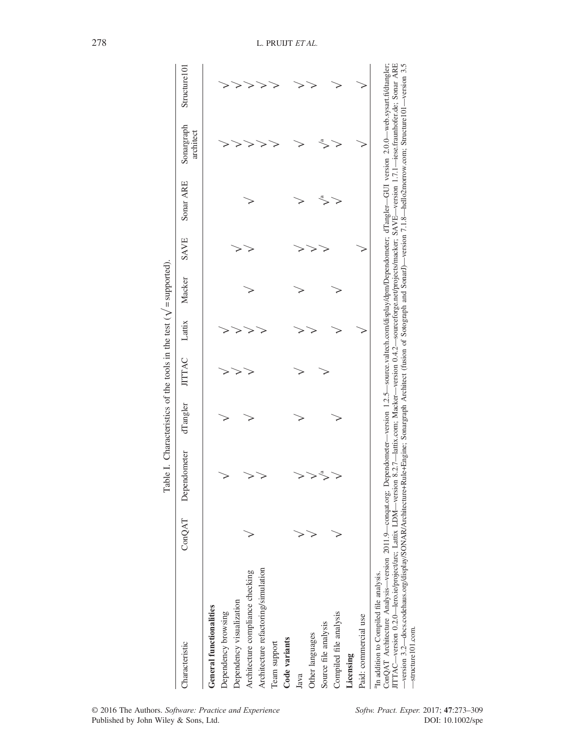|                                                                                                                                                                                                                                                                                                                                                                                                                                                                                                                                                                                                                             |        | Table I. Characteristics of the tools in the test ( $\sqrt{\ }$ = supported). |          |               |        |        |      |           |                         |               |
|-----------------------------------------------------------------------------------------------------------------------------------------------------------------------------------------------------------------------------------------------------------------------------------------------------------------------------------------------------------------------------------------------------------------------------------------------------------------------------------------------------------------------------------------------------------------------------------------------------------------------------|--------|-------------------------------------------------------------------------------|----------|---------------|--------|--------|------|-----------|-------------------------|---------------|
| Characteristic                                                                                                                                                                                                                                                                                                                                                                                                                                                                                                                                                                                                              | ConQAT | Dependometer                                                                  | dTangler | <b>JITTAC</b> | Lattix | Macker | SAVE | Sonar ARE | Sonargraph<br>architect | Structure 101 |
| General functionalities                                                                                                                                                                                                                                                                                                                                                                                                                                                                                                                                                                                                     |        |                                                                               |          |               |        |        |      |           |                         |               |
| Dependency browsing                                                                                                                                                                                                                                                                                                                                                                                                                                                                                                                                                                                                         |        |                                                                               |          |               |        |        |      |           |                         |               |
| Dependency visualization                                                                                                                                                                                                                                                                                                                                                                                                                                                                                                                                                                                                    |        |                                                                               |          |               |        |        |      |           |                         |               |
| Architecture compliance checking                                                                                                                                                                                                                                                                                                                                                                                                                                                                                                                                                                                            |        |                                                                               |          |               |        |        |      |           |                         |               |
| Architecture refactoring/simulation                                                                                                                                                                                                                                                                                                                                                                                                                                                                                                                                                                                         |        |                                                                               |          |               |        |        |      |           |                         |               |
| Team support                                                                                                                                                                                                                                                                                                                                                                                                                                                                                                                                                                                                                |        |                                                                               |          |               |        |        |      |           |                         |               |
| Code variants                                                                                                                                                                                                                                                                                                                                                                                                                                                                                                                                                                                                               |        |                                                                               |          |               |        |        |      |           |                         |               |
| Java                                                                                                                                                                                                                                                                                                                                                                                                                                                                                                                                                                                                                        |        |                                                                               |          |               |        |        |      |           |                         |               |
| Other languages                                                                                                                                                                                                                                                                                                                                                                                                                                                                                                                                                                                                             |        |                                                                               |          |               |        |        |      |           |                         |               |
| Source file analysis                                                                                                                                                                                                                                                                                                                                                                                                                                                                                                                                                                                                        |        |                                                                               |          |               |        |        |      |           |                         |               |
| Compiled file analysis                                                                                                                                                                                                                                                                                                                                                                                                                                                                                                                                                                                                      |        |                                                                               |          |               |        |        |      |           |                         |               |
| Licensing                                                                                                                                                                                                                                                                                                                                                                                                                                                                                                                                                                                                                   |        |                                                                               |          |               |        |        |      |           |                         |               |
| Paid: commercial use                                                                                                                                                                                                                                                                                                                                                                                                                                                                                                                                                                                                        |        |                                                                               |          |               |        |        |      |           |                         |               |
| ITTAC—version 0.2.0—lero.ie/project/arc; Lattix LDM—version 8.2.7—lattix.com; Macker—version 0.4.2—sourceforge.net/projects/macker; SAVE—version 1.7.1—iese.fraunhofer.de; Sonar ARE<br>ConQAT Architecture Analysis—version 2011.9—conqat.org; Dependometer—version 1.2.5—source.valtech.com/display/dpm/Dependometer; dTangler--GUI version 2.0.0—web.sysart.fi/dtangler;<br>-version 3.2—docs.codehaus.org/display/SONAR/Architecture+Rule+Engine; Sonargraph Architect (fusion of Sotograph and SonarJ)—version 7.1.8—hello2morrow.com; Structure101—version 3.5<br><sup>a</sup> In addition to Compiled file analysis. |        |                                                                               |          |               |        |        |      |           |                         |               |
|                                                                                                                                                                                                                                                                                                                                                                                                                                                                                                                                                                                                                             |        |                                                                               |          |               |        |        |      |           |                         |               |

| In addition to Computed the analysi                                                                                                                                                   |
|---------------------------------------------------------------------------------------------------------------------------------------------------------------------------------------|
| ConQAT Architecture Analysis—version 2011.9—conqat.org; Dependometer—version 1.2.5—source.valtech.com/display/dpm/Dependometer; dTangler-GUI version 2.0.0—web.sysart.fi/dtangler;    |
| ITTAC—version 0.2.0—lero.ie/project/arc; Lattix LDM—version 8.2.7—lattix.com; Macker—version 0.4.2—sourceforge.net/projects/macker; SAVE—version 1.7.1—iese.fraunhofer.de; Sonar ARE  |
| -version 3.2-docs.codehaus.org/display/SONAR/Architecture+Rule+Engine; Sonargraph Architect (fusion of Sotograph and Sonarl)-version 7.1.8-hello2morrow.com; Structure101-version 3.5 |
| $-$ structure $101$ .com                                                                                                                                                              |
|                                                                                                                                                                                       |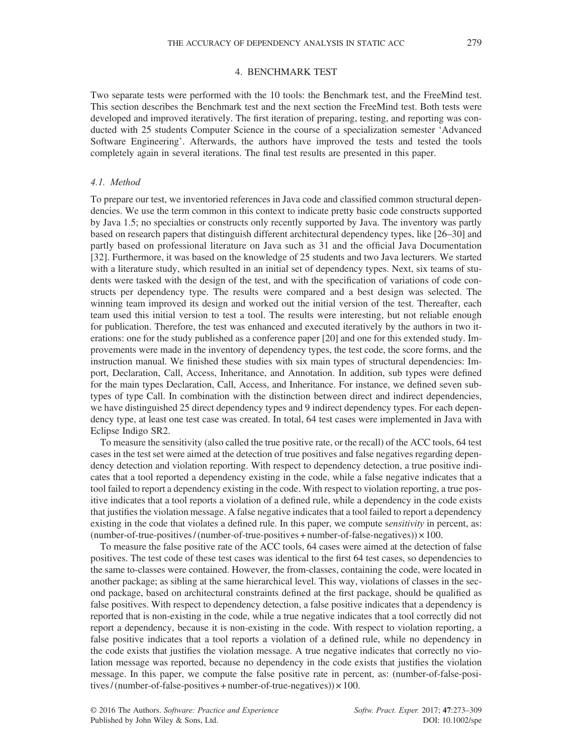## 4. BENCHMARK TEST

Two separate tests were performed with the 10 tools: the Benchmark test, and the FreeMind test. This section describes the Benchmark test and the next section the FreeMind test. Both tests were developed and improved iteratively. The first iteration of preparing, testing, and reporting was conducted with 25 students Computer Science in the course of a specialization semester 'Advanced Software Engineering'. Afterwards, the authors have improved the tests and tested the tools completely again in several iterations. The final test results are presented in this paper.

#### 4.1. Method

To prepare our test, we inventoried references in Java code and classified common structural dependencies. We use the term common in this context to indicate pretty basic code constructs supported by Java 1.5; no specialties or constructs only recently supported by Java. The inventory was partly based on research papers that distinguish different architectural dependency types, like [26–30] and partly based on professional literature on Java such as 31 and the official Java Documentation [32]. Furthermore, it was based on the knowledge of 25 students and two Java lecturers. We started with a literature study, which resulted in an initial set of dependency types. Next, six teams of students were tasked with the design of the test, and with the specification of variations of code constructs per dependency type. The results were compared and a best design was selected. The winning team improved its design and worked out the initial version of the test. Thereafter, each team used this initial version to test a tool. The results were interesting, but not reliable enough for publication. Therefore, the test was enhanced and executed iteratively by the authors in two iterations: one for the study published as a conference paper [20] and one for this extended study. Improvements were made in the inventory of dependency types, the test code, the score forms, and the instruction manual. We finished these studies with six main types of structural dependencies: Import, Declaration, Call, Access, Inheritance, and Annotation. In addition, sub types were defined for the main types Declaration, Call, Access, and Inheritance. For instance, we defined seven subtypes of type Call. In combination with the distinction between direct and indirect dependencies, we have distinguished 25 direct dependency types and 9 indirect dependency types. For each dependency type, at least one test case was created. In total, 64 test cases were implemented in Java with Eclipse Indigo SR2.

To measure the sensitivity (also called the true positive rate, or the recall) of the ACC tools, 64 test cases in the test set were aimed at the detection of true positives and false negatives regarding dependency detection and violation reporting. With respect to dependency detection, a true positive indicates that a tool reported a dependency existing in the code, while a false negative indicates that a tool failed to report a dependency existing in the code. With respect to violation reporting, a true positive indicates that a tool reports a violation of a defined rule, while a dependency in the code exists that justifies the violation message. A false negative indicates that a tool failed to report a dependency existing in the code that violates a defined rule. In this paper, we compute *sensitivity* in percent, as: (number-of-true-positives / (number-of-true-positives + number-of-false-negatives))  $\times$  100.

To measure the false positive rate of the ACC tools, 64 cases were aimed at the detection of false positives. The test code of these test cases was identical to the first 64 test cases, so dependencies to the same to-classes were contained. However, the from-classes, containing the code, were located in another package; as sibling at the same hierarchical level. This way, violations of classes in the second package, based on architectural constraints defined at the first package, should be qualified as false positives. With respect to dependency detection, a false positive indicates that a dependency is reported that is non-existing in the code, while a true negative indicates that a tool correctly did not report a dependency, because it is non-existing in the code. With respect to violation reporting, a false positive indicates that a tool reports a violation of a defined rule, while no dependency in the code exists that justifies the violation message. A true negative indicates that correctly no violation message was reported, because no dependency in the code exists that justifies the violation message. In this paper, we compute the false positive rate in percent, as: (number-of-false-positives / (number-of-false-positives + number-of-true-negatives))  $\times$  100.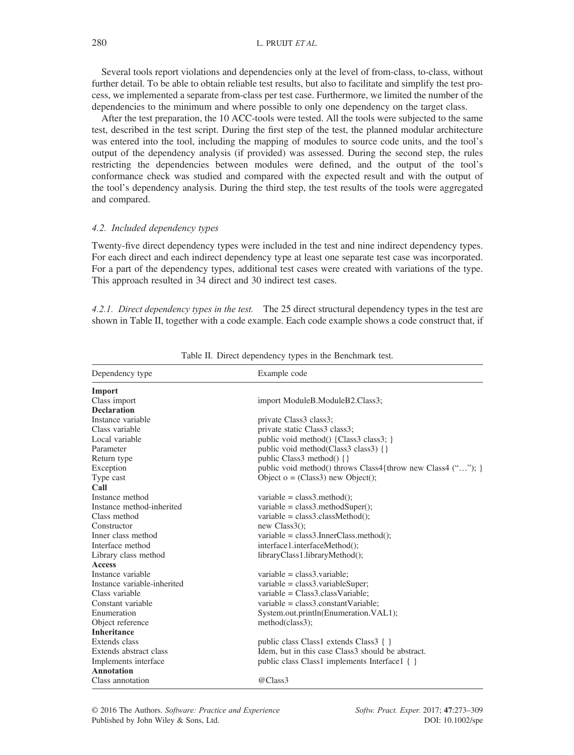Several tools report violations and dependencies only at the level of from-class, to-class, without further detail. To be able to obtain reliable test results, but also to facilitate and simplify the test process, we implemented a separate from-class per test case. Furthermore, we limited the number of the dependencies to the minimum and where possible to only one dependency on the target class.

After the test preparation, the 10 ACC-tools were tested. All the tools were subjected to the same test, described in the test script. During the first step of the test, the planned modular architecture was entered into the tool, including the mapping of modules to source code units, and the tool's output of the dependency analysis (if provided) was assessed. During the second step, the rules restricting the dependencies between modules were defined, and the output of the tool's conformance check was studied and compared with the expected result and with the output of the tool's dependency analysis. During the third step, the test results of the tools were aggregated and compared.

## 4.2. Included dependency types

Twenty-five direct dependency types were included in the test and nine indirect dependency types. For each direct and each indirect dependency type at least one separate test case was incorporated. For a part of the dependency types, additional test cases were created with variations of the type. This approach resulted in 34 direct and 30 indirect test cases.

4.2.1. Direct dependency types in the test. The 25 direct structural dependency types in the test are shown in Table II, together with a code example. Each code example shows a code construct that, if

| Dependency type             | Example code                                                 |
|-----------------------------|--------------------------------------------------------------|
| Import                      |                                                              |
| Class import                | import ModuleB.ModuleB2.Class3;                              |
| <b>Declaration</b>          |                                                              |
| Instance variable           | private Class3 class3;                                       |
| Class variable              | private static Class3 class3;                                |
| Local variable              | public void method() {Class3 class3; }                       |
| Parameter                   | public void method(Class3 class3) {}                         |
| Return type                 | public Class method $()$ { }                                 |
| Exception                   | public void method() throws Class4 {throw new Class4 (""); } |
| Type cast                   | Object $o = (Class3)$ new Object();                          |
| Call                        |                                                              |
| Instance method             | variable = $class3$ .method();                               |
| Instance method-inherited   | variable = $class3$ .methodSuper();                          |
| Class method                | variable = $class3.classMethod()$ ;                          |
| Constructor                 | new $Class3()$ ;                                             |
| Inner class method          | variable = $class3-InnerClass.method$ ;                      |
| Interface method            | interface1.interfaceMethod();                                |
| Library class method        | libraryClass1.libraryMethod();                               |
| <b>Access</b>               |                                                              |
| Instance variable           | $variable = class3.value;$                                   |
| Instance variable-inherited | $variable = class3.valueSuper;$                              |
| Class variable              | variable = $Class3.classVariable$ :                          |
| Constant variable           | variable = $class3$ .constantVariable;                       |
| Enumeration                 | System.out.println(Enumeration.VAL1);                        |
| Object reference            | method(class3);                                              |
| <b>Inheritance</b>          |                                                              |
| Extends class               | public class Class1 extends Class3 $\{ \}$                   |
| Extends abstract class      | Idem, but in this case Class3 should be abstract.            |
| Implements interface        | public class Class1 implements Interface1 { }                |
| Annotation                  |                                                              |
| Class annotation            | @Class3                                                      |

Table II. Direct dependency types in the Benchmark test.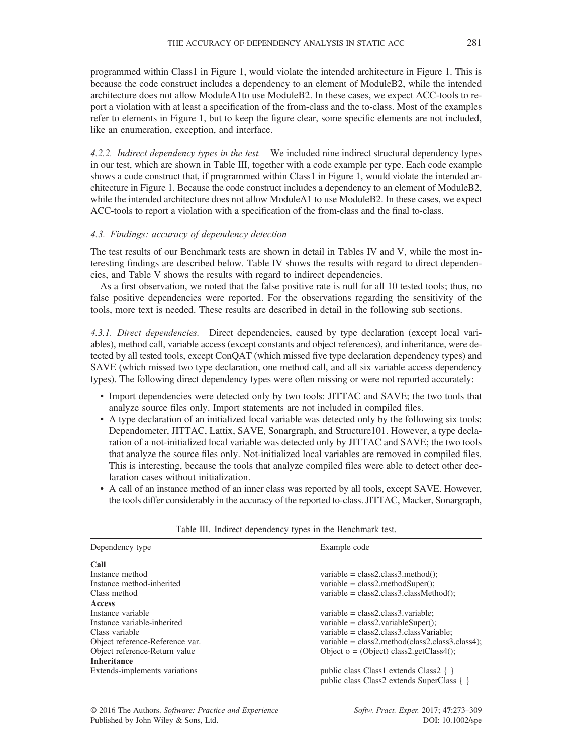programmed within Class1 in Figure 1, would violate the intended architecture in Figure 1. This is because the code construct includes a dependency to an element of ModuleB2, while the intended architecture does not allow ModuleA1to use ModuleB2. In these cases, we expect ACC-tools to report a violation with at least a specification of the from-class and the to-class. Most of the examples refer to elements in Figure 1, but to keep the figure clear, some specific elements are not included, like an enumeration, exception, and interface.

4.2.2. Indirect dependency types in the test. We included nine indirect structural dependency types in our test, which are shown in Table III, together with a code example per type. Each code example shows a code construct that, if programmed within Class1 in Figure 1, would violate the intended architecture in Figure 1. Because the code construct includes a dependency to an element of ModuleB2, while the intended architecture does not allow ModuleA1 to use ModuleB2. In these cases, we expect ACC-tools to report a violation with a specification of the from-class and the final to-class.

#### 4.3. Findings: accuracy of dependency detection

The test results of our Benchmark tests are shown in detail in Tables IV and V, while the most interesting findings are described below. Table IV shows the results with regard to direct dependencies, and Table V shows the results with regard to indirect dependencies.

As a first observation, we noted that the false positive rate is null for all 10 tested tools; thus, no false positive dependencies were reported. For the observations regarding the sensitivity of the tools, more text is needed. These results are described in detail in the following sub sections.

4.3.1. Direct dependencies. Direct dependencies, caused by type declaration (except local variables), method call, variable access (except constants and object references), and inheritance, were detected by all tested tools, except ConQAT (which missed five type declaration dependency types) and SAVE (which missed two type declaration, one method call, and all six variable access dependency types). The following direct dependency types were often missing or were not reported accurately:

- Import dependencies were detected only by two tools: JITTAC and SAVE; the two tools that analyze source files only. Import statements are not included in compiled files.
- A type declaration of an initialized local variable was detected only by the following six tools: Dependometer, JITTAC, Lattix, SAVE, Sonargraph, and Structure101. However, a type declaration of a not-initialized local variable was detected only by JITTAC and SAVE; the two tools that analyze the source files only. Not-initialized local variables are removed in compiled files. This is interesting, because the tools that analyze compiled files were able to detect other declaration cases without initialization.
- A call of an instance method of an inner class was reported by all tools, except SAVE. However, the tools differ considerably in the accuracy of the reported to-class. JITTAC, Macker, Sonargraph,

| Dependency type                 | Example code                                                                         |
|---------------------------------|--------------------------------------------------------------------------------------|
| Call                            |                                                                                      |
| Instance method                 | variable = $class2.class3.method()$ ;                                                |
| Instance method-inherited       | $variable = class2.methodSuper();$                                                   |
| Class method                    | variable = $class2.class3.classMethod$ ;                                             |
| Access                          |                                                                                      |
| Instance variable               | $variable = class2.class3.value;$                                                    |
| Instance variable-inherited     | $variable = class2.valueSuper();$                                                    |
| Class variable                  | $variable = class2.class3.classVariable;$                                            |
| Object reference-Reference var. | variable = $class2$ .method( $class2.class3.class4$ );                               |
| Object reference-Return value   | Object $o = (Object) class 2.getClass 4$ :                                           |
| <b>Inheritance</b>              |                                                                                      |
| Extends-implements variations   | public class Class1 extends Class2 { }<br>public class Class2 extends SuperClass { } |

Table III. Indirect dependency types in the Benchmark test.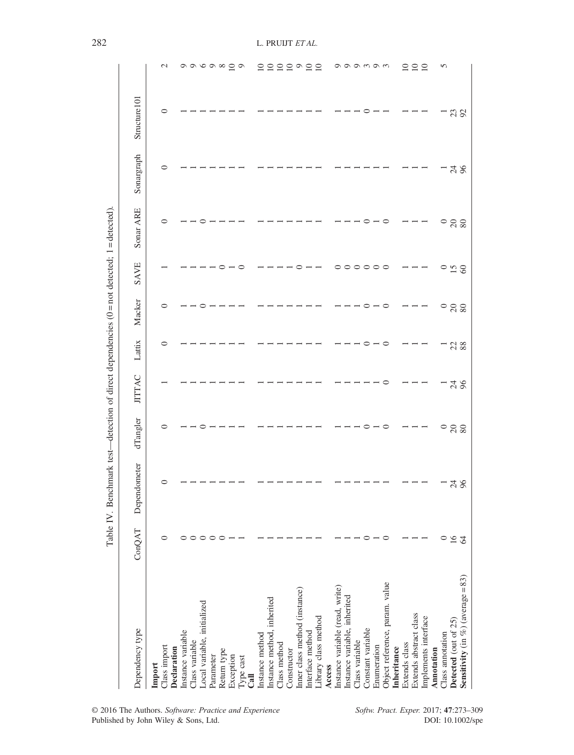|                                      |                    | Table IV. Benchmark test—detection of direct dependencies ( $0 =$ not detected). $1 =$ detected). |                 |                |        |                 |         |                 |            |              |                                       |
|--------------------------------------|--------------------|---------------------------------------------------------------------------------------------------|-----------------|----------------|--------|-----------------|---------|-----------------|------------|--------------|---------------------------------------|
| Dependency type                      | ConQAT             | Dependometer                                                                                      | dTangler        | <b>JITTAC</b>  | Lattix | Macker          | SAVE    | Sonar ARE       | Sonargraph | Structure101 |                                       |
| Class import<br>Import               | 0                  | $\circ$                                                                                           | ⊂               |                | 0      | 0               |         | 0               | 0          | $\circ$      | $\mathcal{L}$                         |
| Declaration                          |                    |                                                                                                   |                 |                |        |                 |         |                 |            |              |                                       |
| Instance variable                    | $\circ$            |                                                                                                   |                 |                |        |                 |         |                 |            |              |                                       |
| Class variable                       |                    |                                                                                                   |                 |                |        |                 |         |                 |            |              |                                       |
| Local variable, initialized          | $\circ$<br>$\circ$ |                                                                                                   |                 |                |        |                 |         |                 |            |              | $\circ \circ \circ \circ \circ \circ$ |
| Parameter                            |                    |                                                                                                   |                 |                |        |                 |         |                 |            |              |                                       |
| Return type                          | $\circ$            |                                                                                                   |                 |                |        |                 |         |                 |            |              |                                       |
| Exception                            |                    |                                                                                                   |                 |                |        |                 |         |                 |            |              |                                       |
| Type cast<br>Cail                    |                    |                                                                                                   |                 |                |        |                 | c       |                 |            |              |                                       |
| Instance method                      |                    |                                                                                                   |                 |                |        |                 |         |                 |            |              | $\overline{10}$                       |
| Instance method, inherited           |                    |                                                                                                   |                 |                |        |                 |         |                 |            |              |                                       |
| Class method                         |                    |                                                                                                   |                 |                |        |                 |         |                 |            |              | 222922                                |
| Constructor                          |                    |                                                                                                   |                 |                |        |                 |         |                 |            |              |                                       |
| Inner class method (instance)        |                    |                                                                                                   |                 |                |        |                 |         |                 |            |              |                                       |
| Interface method                     |                    |                                                                                                   |                 |                |        |                 |         |                 |            |              |                                       |
| Library class method                 |                    |                                                                                                   |                 |                |        |                 |         |                 |            |              |                                       |
| Access                               |                    |                                                                                                   |                 |                |        |                 |         |                 |            |              |                                       |
| Instance variable (read, write)      |                    |                                                                                                   |                 |                |        |                 | 0       |                 |            |              |                                       |
| Instance variable, inherited         |                    |                                                                                                   |                 |                |        |                 | $\circ$ |                 |            |              |                                       |
| Class variable                       |                    |                                                                                                   |                 |                |        |                 | $\circ$ |                 |            |              | のののののの                                |
| Constant variable                    | $\circ$            |                                                                                                   |                 |                |        | ○               | $\circ$ |                 |            |              |                                       |
| Enumeration                          |                    |                                                                                                   |                 |                |        |                 | $\circ$ |                 |            |              |                                       |
| Object reference, param. value       | ○                  |                                                                                                   | ⊂               |                | ⊂      | $\circ$         | $\circ$ | $\circ$         |            |              |                                       |
| Inheritance                          |                    |                                                                                                   |                 |                |        |                 |         |                 |            |              |                                       |
| Extends class                        |                    |                                                                                                   |                 |                |        |                 |         |                 |            |              | $\overline{10}$                       |
| Extends abstract class               |                    |                                                                                                   |                 |                |        |                 |         |                 |            |              | $\frac{10}{10}$                       |
| Implements interface                 |                    |                                                                                                   |                 |                |        |                 |         |                 |            |              |                                       |
| Annotation                           |                    |                                                                                                   |                 |                |        |                 |         |                 |            |              |                                       |
| Class annotation                     | $\circ$            |                                                                                                   | $\circ$         | $\overline{ }$ |        | $\circ$         | $\circ$ | $\circ$         |            |              | 5                                     |
| Detected (out of 25)                 | $\frac{6}{9}$      | កងន                                                                                               | $\frac{20}{80}$ | 748            | $22$   | $\frac{20}{80}$ | 15      | $\frac{80}{20}$ | 748        | 23           |                                       |
| Sensitivity (in $%$ ) (average = 83) |                    |                                                                                                   |                 |                |        |                 |         |                 |            |              |                                       |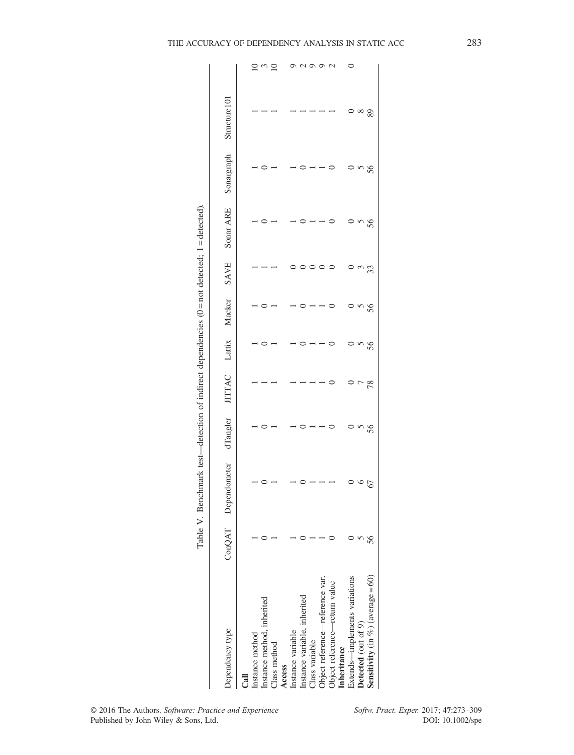| 7<br>í<br>1<br>۱<br>Ĥ<br>l<br>l<br>ÌI<br>ς |
|--------------------------------------------|
| l                                          |
| j<br>ţ<br>١<br>í                           |
|                                            |
| l<br>י                                     |
|                                            |
| l                                          |
| ă<br>ì<br>ï                                |
|                                            |
| I<br>ļ                                     |
|                                            |
| d<br>ׇ֚<br>ì<br>ł<br>l                     |
|                                            |
|                                            |
|                                            |

| Dependency type                      |    | ConQAT Dependometer | dTangler |    |    | JITTAC Lattix Macker | SAVE | Sonar ARE | Sonargraph | Structure101 |                 |
|--------------------------------------|----|---------------------|----------|----|----|----------------------|------|-----------|------------|--------------|-----------------|
| Ca <sub>1</sub>                      |    |                     |          |    |    |                      |      |           |            |              |                 |
| Instance method                      |    |                     |          |    |    |                      |      |           |            |              | $\Xi$           |
| Instance method, inherited           |    |                     |          |    |    |                      |      |           |            |              | $\omega$        |
| Class method                         |    |                     |          |    |    |                      |      |           |            |              | ≘               |
| Access                               |    |                     |          |    |    |                      |      |           |            |              |                 |
| Instance variable                    |    |                     |          |    |    |                      |      |           |            |              |                 |
| Instance variable, inherited         |    |                     |          |    |    |                      |      |           |            |              | $\mathfrak{g}$  |
| Class variable                       |    |                     |          |    |    |                      |      |           |            |              | $\circ$         |
| Object reference-reference var.      |    |                     |          |    |    |                      |      |           |            |              | $\circ$         |
| Object reference—return value        |    |                     |          |    |    |                      |      |           |            |              | $\mathbf{\sim}$ |
| Inheritance                          |    |                     |          |    |    |                      |      |           |            |              |                 |
| Extends-implements variations        |    |                     |          |    |    |                      |      |           |            |              | $\circ$         |
| Detected (out of 9)                  |    |                     | ì        |    |    |                      |      |           |            |              |                 |
| Sensitivity (in $%$ ) (average = 60) | 56 | 67                  | 56       | 78 | 56 | 56                   | 33   | 56        | 56         | 89           |                 |
|                                      |    |                     |          |    |    |                      |      |           |            |              |                 |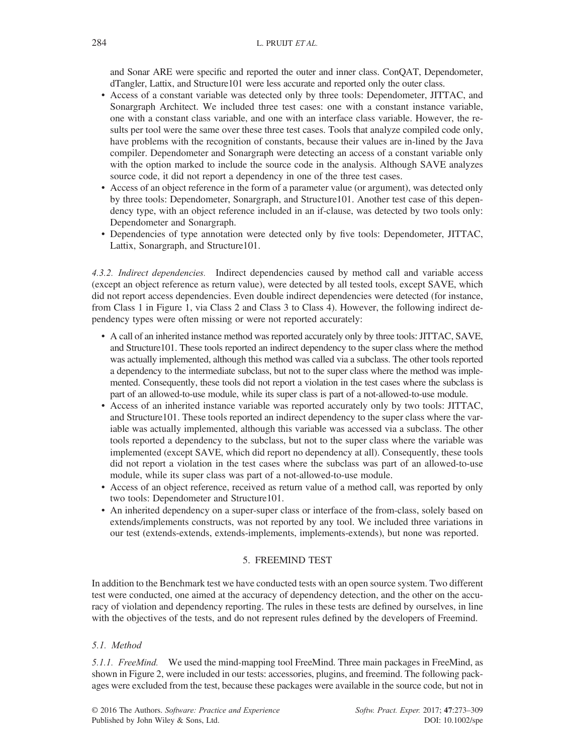and Sonar ARE were specific and reported the outer and inner class. ConQAT, Dependometer, dTangler, Lattix, and Structure101 were less accurate and reported only the outer class.

- Access of a constant variable was detected only by three tools: Dependometer, JITTAC, and Sonargraph Architect. We included three test cases: one with a constant instance variable, one with a constant class variable, and one with an interface class variable. However, the results per tool were the same over these three test cases. Tools that analyze compiled code only, have problems with the recognition of constants, because their values are in-lined by the Java compiler. Dependometer and Sonargraph were detecting an access of a constant variable only with the option marked to include the source code in the analysis. Although SAVE analyzes source code, it did not report a dependency in one of the three test cases.
- Access of an object reference in the form of a parameter value (or argument), was detected only by three tools: Dependometer, Sonargraph, and Structure101. Another test case of this dependency type, with an object reference included in an if-clause, was detected by two tools only: Dependometer and Sonargraph.
- Dependencies of type annotation were detected only by five tools: Dependometer, JITTAC, Lattix, Sonargraph, and Structure101.

4.3.2. Indirect dependencies. Indirect dependencies caused by method call and variable access (except an object reference as return value), were detected by all tested tools, except SAVE, which did not report access dependencies. Even double indirect dependencies were detected (for instance, from Class 1 in Figure 1, via Class 2 and Class 3 to Class 4). However, the following indirect dependency types were often missing or were not reported accurately:

- A call of an inherited instance method was reported accurately only by three tools: JITTAC, SAVE, and Structure101. These tools reported an indirect dependency to the super class where the method was actually implemented, although this method was called via a subclass. The other tools reported a dependency to the intermediate subclass, but not to the super class where the method was implemented. Consequently, these tools did not report a violation in the test cases where the subclass is part of an allowed-to-use module, while its super class is part of a not-allowed-to-use module.
- Access of an inherited instance variable was reported accurately only by two tools: JITTAC, and Structure101. These tools reported an indirect dependency to the super class where the variable was actually implemented, although this variable was accessed via a subclass. The other tools reported a dependency to the subclass, but not to the super class where the variable was implemented (except SAVE, which did report no dependency at all). Consequently, these tools did not report a violation in the test cases where the subclass was part of an allowed-to-use module, while its super class was part of a not-allowed-to-use module.
- Access of an object reference, received as return value of a method call, was reported by only two tools: Dependometer and Structure101.
- An inherited dependency on a super-super class or interface of the from-class, solely based on extends/implements constructs, was not reported by any tool. We included three variations in our test (extends-extends, extends-implements, implements-extends), but none was reported.

## 5. FREEMIND TEST

In addition to the Benchmark test we have conducted tests with an open source system. Two different test were conducted, one aimed at the accuracy of dependency detection, and the other on the accuracy of violation and dependency reporting. The rules in these tests are defined by ourselves, in line with the objectives of the tests, and do not represent rules defined by the developers of Freemind.

## 5.1. Method

5.1.1. FreeMind. We used the mind-mapping tool FreeMind. Three main packages in FreeMind, as shown in Figure 2, were included in our tests: accessories, plugins, and freemind. The following packages were excluded from the test, because these packages were available in the source code, but not in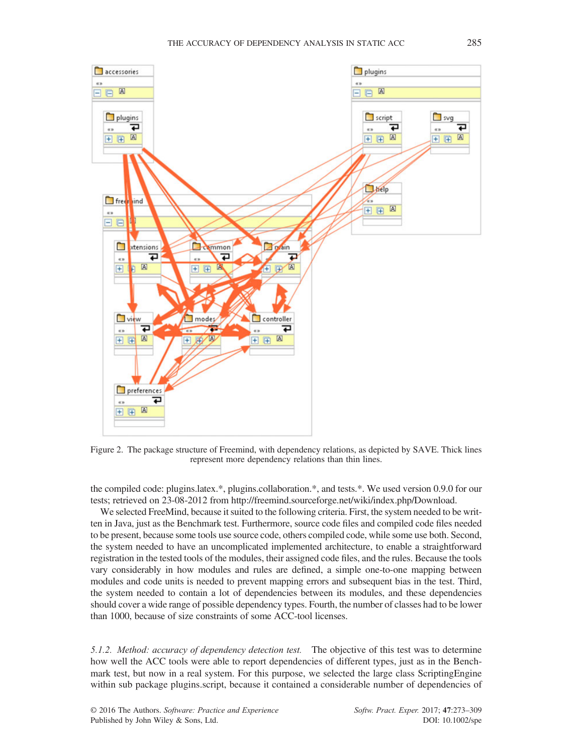

Figure 2. The package structure of Freemind, with dependency relations, as depicted by SAVE. Thick lines represent more dependency relations than thin lines.

the compiled code: plugins.latex.\*, plugins.collaboration.\*, and tests.\*. We used version 0.9.0 for our tests; retrieved on 23-08-2012 from<http://freemind.sourceforge.net/wiki/index.php/Download>.

We selected FreeMind, because it suited to the following criteria. First, the system needed to be written in Java, just as the Benchmark test. Furthermore, source code files and compiled code files needed to be present, because some tools use source code, others compiled code, while some use both. Second, the system needed to have an uncomplicated implemented architecture, to enable a straightforward registration in the tested tools of the modules, their assigned code files, and the rules. Because the tools vary considerably in how modules and rules are defined, a simple one-to-one mapping between modules and code units is needed to prevent mapping errors and subsequent bias in the test. Third, the system needed to contain a lot of dependencies between its modules, and these dependencies should cover a wide range of possible dependency types. Fourth, the number of classes had to be lower than 1000, because of size constraints of some ACC-tool licenses.

5.1.2. Method: accuracy of dependency detection test. The objective of this test was to determine how well the ACC tools were able to report dependencies of different types, just as in the Benchmark test, but now in a real system. For this purpose, we selected the large class ScriptingEngine within sub package plugins.script, because it contained a considerable number of dependencies of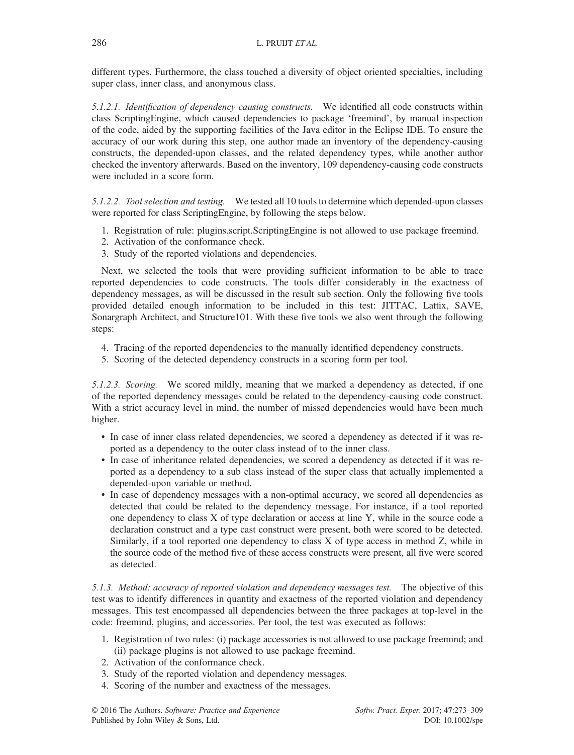different types. Furthermore, the class touched a diversity of object oriented specialties, including super class, inner class, and anonymous class.

5.1.2.1. Identification of dependency causing constructs. We identified all code constructs within class ScriptingEngine, which caused dependencies to package 'freemind', by manual inspection of the code, aided by the supporting facilities of the Java editor in the Eclipse IDE. To ensure the accuracy of our work during this step, one author made an inventory of the dependency-causing constructs, the depended-upon classes, and the related dependency types, while another author checked the inventory afterwards. Based on the inventory, 109 dependency-causing code constructs were included in a score form.

5.1.2.2. Tool selection and testing. We tested all 10 tools to determine which depended-upon classes were reported for class ScriptingEngine, by following the steps below.

- 1. Registration of rule: plugins.script.ScriptingEngine is not allowed to use package freemind.
- 2. Activation of the conformance check.
- 3. Study of the reported violations and dependencies.

Next, we selected the tools that were providing sufficient information to be able to trace reported dependencies to code constructs. The tools differ considerably in the exactness of dependency messages, as will be discussed in the result sub section. Only the following five tools provided detailed enough information to be included in this test: JITTAC, Lattix, SAVE, Sonargraph Architect, and Structure101. With these five tools we also went through the following steps:

- 4. Tracing of the reported dependencies to the manually identified dependency constructs.
- 5. Scoring of the detected dependency constructs in a scoring form per tool.

5.1.2.3. Scoring. We scored mildly, meaning that we marked a dependency as detected, if one of the reported dependency messages could be related to the dependency-causing code construct. With a strict accuracy level in mind, the number of missed dependencies would have been much higher.

- In case of inner class related dependencies, we scored a dependency as detected if it was reported as a dependency to the outer class instead of to the inner class.
- In case of inheritance related dependencies, we scored a dependency as detected if it was reported as a dependency to a sub class instead of the super class that actually implemented a depended-upon variable or method.
- In case of dependency messages with a non-optimal accuracy, we scored all dependencies as detected that could be related to the dependency message. For instance, if a tool reported one dependency to class X of type declaration or access at line Y, while in the source code a declaration construct and a type cast construct were present, both were scored to be detected. Similarly, if a tool reported one dependency to class X of type access in method Z, while in the source code of the method five of these access constructs were present, all five were scored as detected.

5.1.3. Method: accuracy of reported violation and dependency messages test. The objective of this test was to identify differences in quantity and exactness of the reported violation and dependency messages. This test encompassed all dependencies between the three packages at top-level in the code: freemind, plugins, and accessories. Per tool, the test was executed as follows:

- 1. Registration of two rules: (i) package accessories is not allowed to use package freemind; and (ii) package plugins is not allowed to use package freemind.
- 2. Activation of the conformance check.
- 3. Study of the reported violation and dependency messages.
- 4. Scoring of the number and exactness of the messages.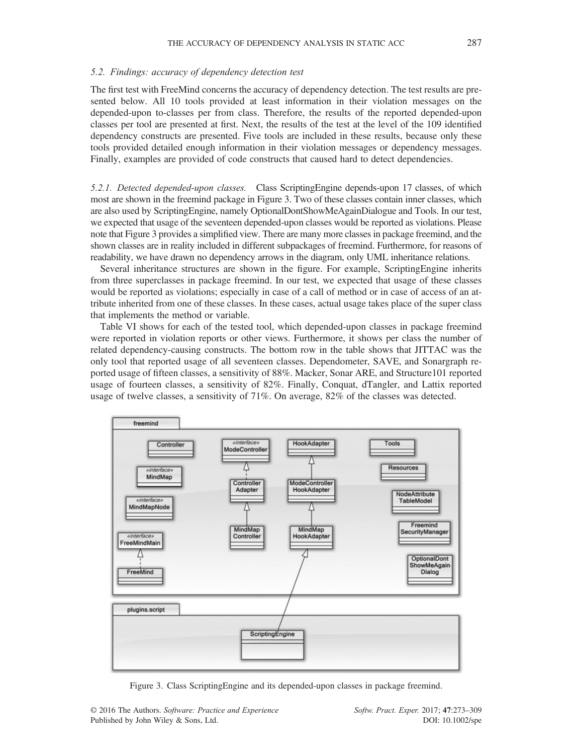#### 5.2. Findings: accuracy of dependency detection test

The first test with FreeMind concerns the accuracy of dependency detection. The test results are presented below. All 10 tools provided at least information in their violation messages on the depended-upon to-classes per from class. Therefore, the results of the reported depended-upon classes per tool are presented at first. Next, the results of the test at the level of the 109 identified dependency constructs are presented. Five tools are included in these results, because only these tools provided detailed enough information in their violation messages or dependency messages. Finally, examples are provided of code constructs that caused hard to detect dependencies.

5.2.1. Detected depended-upon classes. Class ScriptingEngine depends-upon 17 classes, of which most are shown in the freemind package in Figure 3. Two of these classes contain inner classes, which are also used by ScriptingEngine, namely OptionalDontShowMeAgainDialogue and Tools. In our test, we expected that usage of the seventeen depended-upon classes would be reported as violations. Please note that Figure 3 provides a simplified view. There are many more classes in package freemind, and the shown classes are in reality included in different subpackages of freemind. Furthermore, for reasons of readability, we have drawn no dependency arrows in the diagram, only UML inheritance relations.

Several inheritance structures are shown in the figure. For example, ScriptingEngine inherits from three superclasses in package freemind. In our test, we expected that usage of these classes would be reported as violations; especially in case of a call of method or in case of access of an attribute inherited from one of these classes. In these cases, actual usage takes place of the super class that implements the method or variable.

Table VI shows for each of the tested tool, which depended-upon classes in package freemind were reported in violation reports or other views. Furthermore, it shows per class the number of related dependency-causing constructs. The bottom row in the table shows that JITTAC was the only tool that reported usage of all seventeen classes. Dependometer, SAVE, and Sonargraph reported usage of fifteen classes, a sensitivity of 88%. Macker, Sonar ARE, and Structure101 reported usage of fourteen classes, a sensitivity of 82%. Finally, Conquat, dTangler, and Lattix reported usage of twelve classes, a sensitivity of 71%. On average, 82% of the classes was detected.



Figure 3. Class ScriptingEngine and its depended-upon classes in package freemind.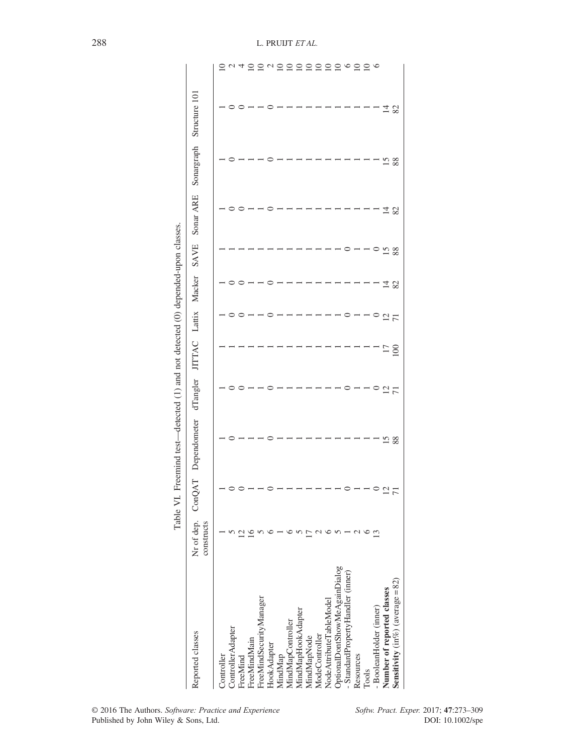| l<br>i                                                                           |
|----------------------------------------------------------------------------------|
|                                                                                  |
|                                                                                  |
| l                                                                                |
|                                                                                  |
|                                                                                  |
| こく らくらけ てくてらく                                                                    |
| í                                                                                |
|                                                                                  |
| Í                                                                                |
|                                                                                  |
|                                                                                  |
| ;<br>;<br>;                                                                      |
| てもくらく                                                                            |
|                                                                                  |
|                                                                                  |
| .<br>.<br>.                                                                      |
| ֧֧֢֖֖֖֢ׅ֧֚֚֚֚֚֚֚֚֚֚֚֚֚֝֓֓ <u>֓</u><br>l                                          |
|                                                                                  |
|                                                                                  |
| $\frac{1}{2}$                                                                    |
|                                                                                  |
| $\frac{1}{2}$                                                                    |
|                                                                                  |
|                                                                                  |
|                                                                                  |
|                                                                                  |
| $\frac{1}{2}$                                                                    |
|                                                                                  |
|                                                                                  |
| ֧֧֧֧֧֧ׅ֧ׅ֧֧֧ׅ֧֧ׅ֧ׅ֧֛֧֛֛֧֛֚֚֚֚֚֚֚֚֚֚֚֚֚֚֚֚֚֚֚֚֚֚֚֚֚֚֚֚֚֚֚֚֚֚֚֝֝֝֓֝֓֝֓֜֜֝֓֜֜֜֜֜֝֓֝ |
| ;<br> <br>i<br>l                                                                 |
|                                                                                  |

| Reported classes                    | constructs | Nr of dep. ConQAT | Dependometer | dTangler       | JITTAC Lattix Macker |                |     | SAVE            | Sonar ARE | Sonargraph | Structure 101 |               |
|-------------------------------------|------------|-------------------|--------------|----------------|----------------------|----------------|-----|-----------------|-----------|------------|---------------|---------------|
| Controller                          |            |                   |              |                |                      |                |     |                 |           |            |               |               |
| ControllerAdapter                   |            |                   |              |                |                      |                |     |                 |           |            |               |               |
| FreeMind                            |            |                   |              |                |                      |                |     |                 |           |            |               |               |
| FreeMindMain                        |            |                   |              |                |                      |                |     |                 |           |            |               |               |
| FreeMindSecurityManager             |            |                   |              |                |                      |                |     |                 |           |            |               |               |
| HookAdapter                         |            |                   |              |                |                      |                |     |                 |           |            |               |               |
| MindMap                             |            |                   |              |                |                      |                |     |                 |           |            |               |               |
| MindMapController                   |            |                   |              |                |                      |                |     |                 |           |            |               |               |
| MindMapHookAdapter                  |            |                   |              |                |                      |                |     |                 |           |            |               |               |
| MindMapNode                         |            |                   |              |                |                      |                |     |                 |           |            |               |               |
| ModeController                      |            |                   |              |                |                      |                |     |                 |           |            |               |               |
| NodeAttributeTableModel             |            |                   |              |                |                      |                |     |                 |           |            |               |               |
| OptionalDontShowMeAgainDialog       |            |                   |              |                |                      |                |     |                 |           |            |               |               |
| - StandardPropertyHandler (inner)   |            |                   |              |                |                      |                |     |                 |           |            |               | 0020000000000 |
| Resources                           |            |                   |              |                |                      |                |     |                 |           |            |               |               |
| Tools                               |            |                   |              |                |                      |                |     |                 |           |            |               |               |
| - BooleanHolder (inner)             |            |                   |              |                |                      |                |     |                 |           |            |               |               |
| Number of reported classes          |            |                   | 15           | 12             |                      | $\overline{c}$ |     |                 | $\vec{4}$ | 15         | 148           |               |
| Sensitivity (in%) (average = $82$ ) |            |                   | 88           | $\overline{7}$ | $^{17}_{-100}$       | $\overline{7}$ | 148 | $\frac{15}{88}$ | 82        | 88         |               |               |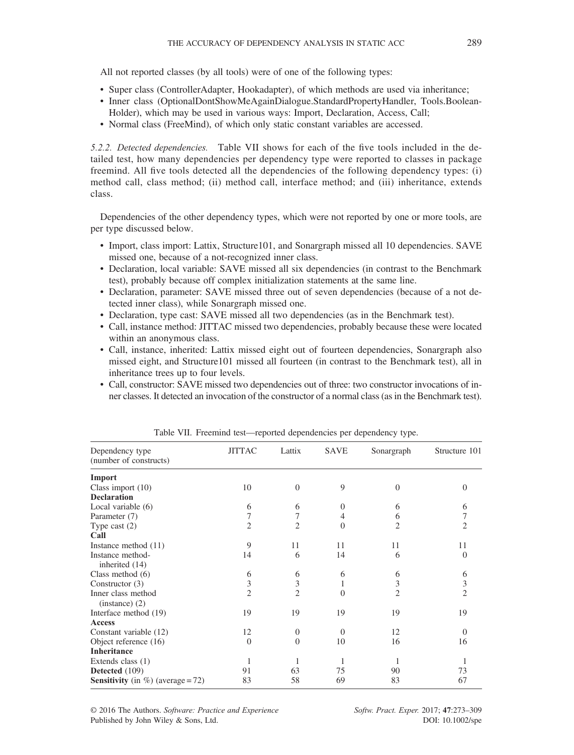All not reported classes (by all tools) were of one of the following types:

- Super class (ControllerAdapter, Hookadapter), of which methods are used via inheritance;
- Inner class (OptionalDontShowMeAgainDialogue.StandardPropertyHandler, Tools.Boolean-Holder), which may be used in various ways: Import, Declaration, Access, Call;
- Normal class (FreeMind), of which only static constant variables are accessed.

5.2.2. Detected dependencies. Table VII shows for each of the five tools included in the detailed test, how many dependencies per dependency type were reported to classes in package freemind. All five tools detected all the dependencies of the following dependency types: (i) method call, class method; (ii) method call, interface method; and (iii) inheritance, extends class.

Dependencies of the other dependency types, which were not reported by one or more tools, are per type discussed below.

- Import, class import: Lattix, Structure101, and Sonargraph missed all 10 dependencies. SAVE missed one, because of a not-recognized inner class.
- Declaration, local variable: SAVE missed all six dependencies (in contrast to the Benchmark test), probably because off complex initialization statements at the same line.
- Declaration, parameter: SAVE missed three out of seven dependencies (because of a not detected inner class), while Sonargraph missed one.
- Declaration, type cast: SAVE missed all two dependencies (as in the Benchmark test).
- Call, instance method: JITTAC missed two dependencies, probably because these were located within an anonymous class.
- Call, instance, inherited: Lattix missed eight out of fourteen dependencies, Sonargraph also missed eight, and Structure101 missed all fourteen (in contrast to the Benchmark test), all in inheritance trees up to four levels.
- Call, constructor: SAVE missed two dependencies out of three: two constructor invocations of inner classes. It detected an invocation of the constructor of a normal class (as in the Benchmark test).

| Dependency type<br>(number of constructs)    | <b>JITTAC</b>  | Lattix         | <b>SAVE</b>    | Sonargraph     | Structure 101  |
|----------------------------------------------|----------------|----------------|----------------|----------------|----------------|
| Import                                       |                |                |                |                |                |
| Class import $(10)$                          | 10             | $\theta$       | 9              | $\Omega$       | $\Omega$       |
| <b>Declaration</b>                           |                |                |                |                |                |
| Local variable (6)                           | 6              | 6              | $\Omega$       | 6              | 6              |
| Parameter (7)                                | 7              | 7              | 4              | 6              |                |
| Type cast $(2)$                              | 2              | $\overline{c}$ | $\overline{0}$ | 2              | 2              |
| Call                                         |                |                |                |                |                |
| Instance method $(11)$                       | 9              | 11             | 11             | 11             | 11             |
| Instance method-<br>inherited (14)           | 14             | 6              | 14             | 6              | 0              |
| Class method $(6)$                           | 6              | 6              | 6              | 6              | 6              |
| Constructor $(3)$                            | 3              | 3              | 1              | 3              | 3              |
| Inner class method<br>$(instance)$ (2)       | $\overline{2}$ | $\overline{2}$ | $\theta$       | $\overline{2}$ | $\overline{c}$ |
| Interface method (19)                        | 19             | 19             | 19             | 19             | 19             |
| <b>Access</b>                                |                |                |                |                |                |
| Constant variable (12)                       | 12             | $\Omega$       | $\theta$       | 12             | $\Omega$       |
| Object reference (16)                        | $\theta$       | $\Omega$       | 10             | 16             | 16             |
| <b>Inheritance</b>                           |                |                |                |                |                |
| Extends class (1)                            | 1              |                | 1              | 1              |                |
| Detected (109)                               | 91             | 63             | 75             | 90             | 73             |
| <b>Sensitivity</b> (in $\%$ ) (average = 72) | 83             | 58             | 69             | 83             | 67             |

Table VII. Freemind test—reported dependencies per dependency type.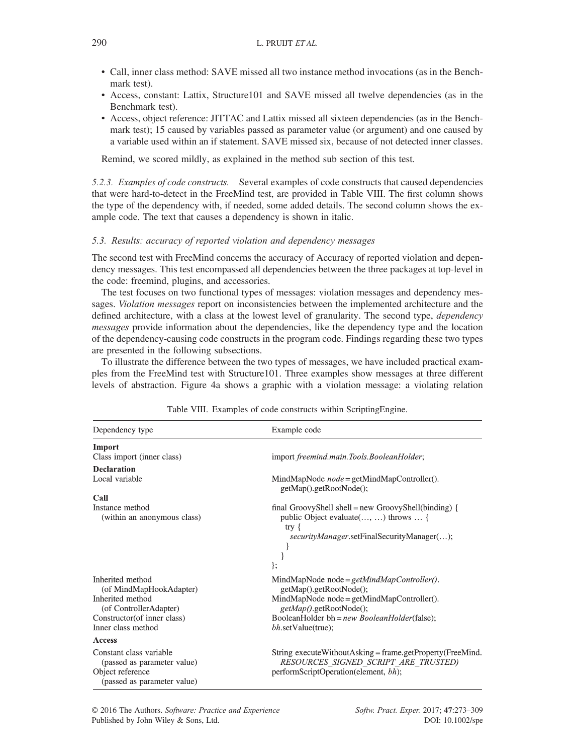- Call, inner class method: SAVE missed all two instance method invocations (as in the Benchmark test).
- Access, constant: Lattix, Structure101 and SAVE missed all twelve dependencies (as in the Benchmark test).
- Access, object reference: JITTAC and Lattix missed all sixteen dependencies (as in the Benchmark test); 15 caused by variables passed as parameter value (or argument) and one caused by a variable used within an if statement. SAVE missed six, because of not detected inner classes.

Remind, we scored mildly, as explained in the method sub section of this test.

5.2.3. Examples of code constructs. Several examples of code constructs that caused dependencies that were hard-to-detect in the FreeMind test, are provided in Table VIII. The first column shows the type of the dependency with, if needed, some added details. The second column shows the example code. The text that causes a dependency is shown in italic.

## 5.3. Results: accuracy of reported violation and dependency messages

The second test with FreeMind concerns the accuracy of Accuracy of reported violation and dependency messages. This test encompassed all dependencies between the three packages at top-level in the code: freemind, plugins, and accessories.

The test focuses on two functional types of messages: violation messages and dependency messages. *Violation messages* report on inconsistencies between the implemented architecture and the defined architecture, with a class at the lowest level of granularity. The second type, *dependency* messages provide information about the dependencies, like the dependency type and the location of the dependency-causing code constructs in the program code. Findings regarding these two types are presented in the following subsections.

To illustrate the difference between the two types of messages, we have included practical examples from the FreeMind test with Structure101. Three examples show messages at three different levels of abstraction. Figure 4a shows a graphic with a violation message: a violating relation

| Dependency type                                                                                                                                | Example code                                                                                                                                                                                                                  |
|------------------------------------------------------------------------------------------------------------------------------------------------|-------------------------------------------------------------------------------------------------------------------------------------------------------------------------------------------------------------------------------|
| Import                                                                                                                                         |                                                                                                                                                                                                                               |
| Class import (inner class)                                                                                                                     | import freemind.main.Tools.BooleanHolder;                                                                                                                                                                                     |
| <b>Declaration</b>                                                                                                                             |                                                                                                                                                                                                                               |
| Local variable                                                                                                                                 | MindMapNode $node = getMidMapController()$ .<br>getMap().getRootNode();                                                                                                                                                       |
| Call                                                                                                                                           |                                                                                                                                                                                                                               |
| Instance method<br>(within an anonymous class)                                                                                                 | final GroovyShell shell = new GroovyShell(binding) {<br>public Object evaluate(, ) throws  {<br>$try \{$<br>securityManager.setFinalSecurityManager();<br>};                                                                  |
| Inherited method<br>(of MindMapHookAdapter)<br>Inherited method<br>(of ControllerAdapter)<br>Constructor(of inner class)<br>Inner class method | MindMapNode node = $getMidMapController()$ .<br>getMap().getRootNode();<br>MindMapNode node = getMindMapController().<br>getMap().getRootNode();<br>BooleanHolder bh = new BooleanHolder(false);<br><i>bh.setValue(true);</i> |
| <b>Access</b>                                                                                                                                  |                                                                                                                                                                                                                               |
| Constant class variable<br>(passed as parameter value)<br>Object reference<br>(passed as parameter value)                                      | String execute Without Asking = frame.get Property (Free Mind.<br>RESOURCES SIGNED SCRIPT ARE TRUSTED)<br>performScriptOperation(element, bh);                                                                                |

Table VIII. Examples of code constructs within ScriptingEngine.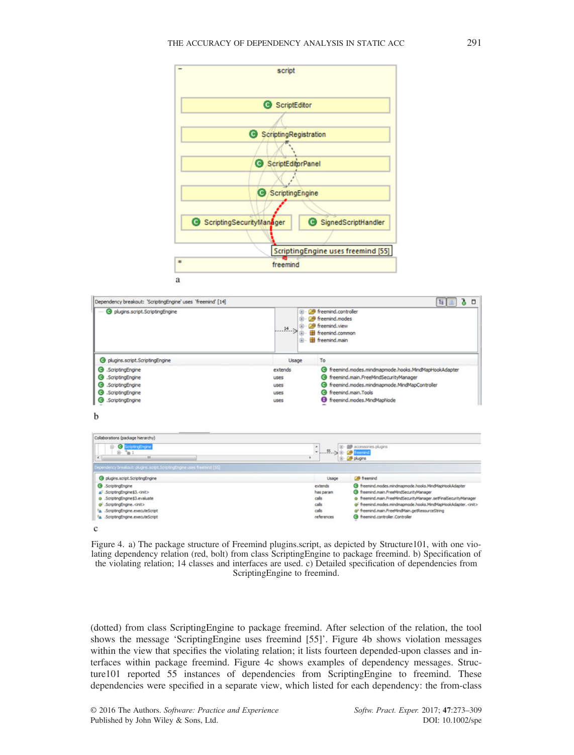



<sup>8</sup>A .ScriptingEngine.executeScript references **@** freemind.controller.Controller  $\mathbf c$ Figure 4. a) The package structure of Freemind plugins.script, as depicted by Structure101, with one violating dependency relation (red, bolt) from class ScriptingEngine to package freemind. b) Specification of the violating relation; 14 classes and interfaces are used. c) Detailed specification of dependencies from

ScriptingEngine to freemind.

(dotted) from class ScriptingEngine to package freemind. After selection of the relation, the tool shows the message 'ScriptingEngine uses freemind [55]'. Figure 4b shows violation messages within the view that specifies the violating relation; it lists fourteen depended-upon classes and interfaces within package freemind. Figure 4c shows examples of dependency messages. Structure101 reported 55 instances of dependencies from ScriptingEngine to freemind. These dependencies were specified in a separate view, which listed for each dependency: the from-class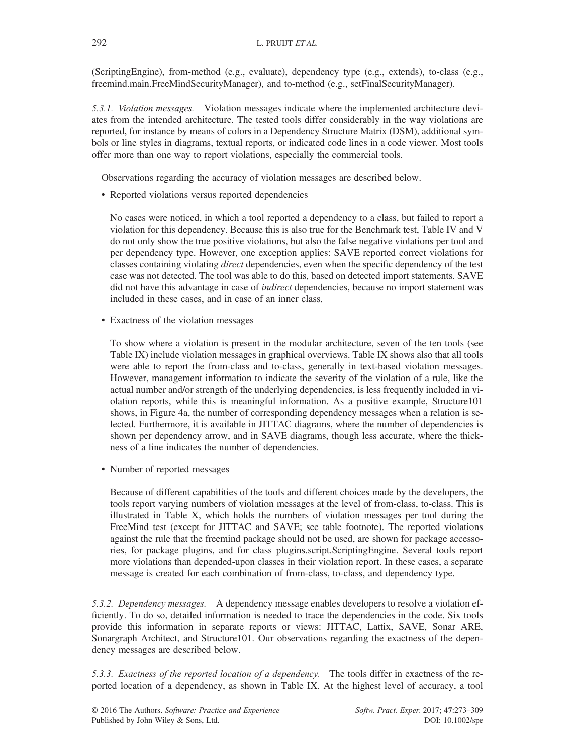(ScriptingEngine), from-method (e.g., evaluate), dependency type (e.g., extends), to-class (e.g., freemind.main.FreeMindSecurityManager), and to-method (e.g., setFinalSecurityManager).

5.3.1. Violation messages. Violation messages indicate where the implemented architecture deviates from the intended architecture. The tested tools differ considerably in the way violations are reported, for instance by means of colors in a Dependency Structure Matrix (DSM), additional symbols or line styles in diagrams, textual reports, or indicated code lines in a code viewer. Most tools offer more than one way to report violations, especially the commercial tools.

Observations regarding the accuracy of violation messages are described below.

• Reported violations versus reported dependencies

No cases were noticed, in which a tool reported a dependency to a class, but failed to report a violation for this dependency. Because this is also true for the Benchmark test, Table IV and V do not only show the true positive violations, but also the false negative violations per tool and per dependency type. However, one exception applies: SAVE reported correct violations for classes containing violating direct dependencies, even when the specific dependency of the test case was not detected. The tool was able to do this, based on detected import statements. SAVE did not have this advantage in case of *indirect* dependencies, because no import statement was included in these cases, and in case of an inner class.

• Exactness of the violation messages

To show where a violation is present in the modular architecture, seven of the ten tools (see Table IX) include violation messages in graphical overviews. Table IX shows also that all tools were able to report the from-class and to-class, generally in text-based violation messages. However, management information to indicate the severity of the violation of a rule, like the actual number and/or strength of the underlying dependencies, is less frequently included in violation reports, while this is meaningful information. As a positive example, Structure101 shows, in Figure 4a, the number of corresponding dependency messages when a relation is selected. Furthermore, it is available in JITTAC diagrams, where the number of dependencies is shown per dependency arrow, and in SAVE diagrams, though less accurate, where the thickness of a line indicates the number of dependencies.

• Number of reported messages

Because of different capabilities of the tools and different choices made by the developers, the tools report varying numbers of violation messages at the level of from-class, to-class. This is illustrated in Table X, which holds the numbers of violation messages per tool during the FreeMind test (except for JITTAC and SAVE; see table footnote). The reported violations against the rule that the freemind package should not be used, are shown for package accessories, for package plugins, and for class plugins.script.ScriptingEngine. Several tools report more violations than depended-upon classes in their violation report. In these cases, a separate message is created for each combination of from-class, to-class, and dependency type.

5.3.2. Dependency messages. A dependency message enables developers to resolve a violation efficiently. To do so, detailed information is needed to trace the dependencies in the code. Six tools provide this information in separate reports or views: JITTAC, Lattix, SAVE, Sonar ARE, Sonargraph Architect, and Structure101. Our observations regarding the exactness of the dependency messages are described below.

5.3.3. Exactness of the reported location of a dependency. The tools differ in exactness of the reported location of a dependency, as shown in Table IX. At the highest level of accuracy, a tool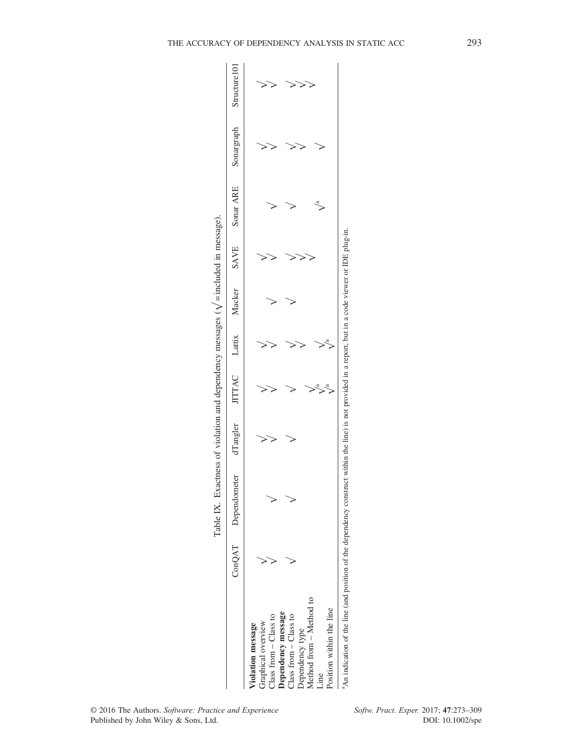|                                                                                                                                                                                                     | Table IX. Exactness of violation and dependency messages ( $\sqrt{\frac{1}{2}}$ included in message). |          |               |        |                |            |               |
|-----------------------------------------------------------------------------------------------------------------------------------------------------------------------------------------------------|-------------------------------------------------------------------------------------------------------|----------|---------------|--------|----------------|------------|---------------|
|                                                                                                                                                                                                     | ConQAT Dependometer                                                                                   | dTangler | JITTAC Lattix | Macker | SAVE Sonar ARE | Sonargraph | Structure 101 |
| Method from - Method to<br>Position within the line<br>Dependency message<br>Class from - Class to<br>Class from $-$ Class to<br>Graphical overview<br>Violation message<br>Dependency type<br>Line |                                                                                                       |          |               |        |                |            |               |
| <sup>3</sup> An indication of the line (and position of the dependency construct within the line) is not provided in a report, but in a code viewer or IDE plug-in.                                 |                                                                                                       |          |               |        |                |            |               |

| Ξ<br>Ï<br>Ì<br>֚֚֡<br>ś<br>ׇ֚֕֕<br>$\frac{1}{2}$<br>j<br>l<br>ï<br>Ï<br>i<br>l<br>j<br>$\vdots$ |  |
|-------------------------------------------------------------------------------------------------|--|
| Í<br>j<br>j<br>i<br>j                                                                           |  |
| i<br>ׇ֠֕֡֡<br>ś<br>l                                                                            |  |
| l                                                                                               |  |
| ř                                                                                               |  |
|                                                                                                 |  |
| ļ                                                                                               |  |
| I<br>1                                                                                          |  |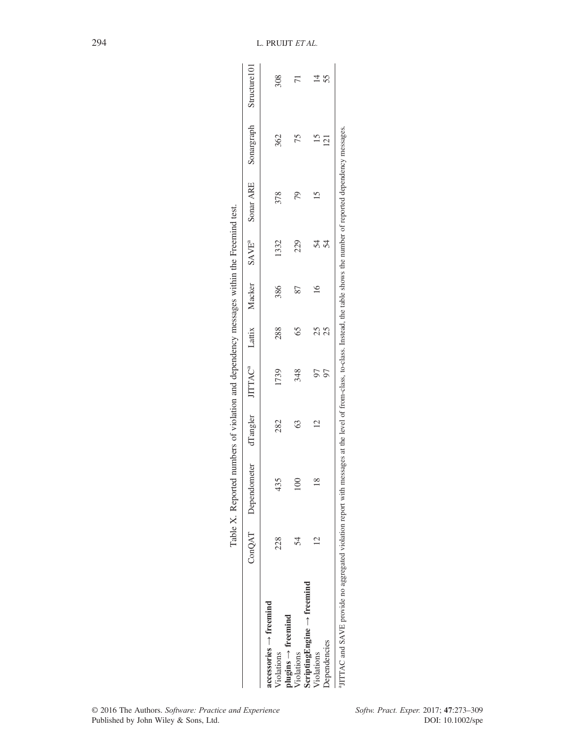|                                                                                                                                                                                 |     | Table X. Reported numbers of violation and dependency messages within the Freemind test. |              |      |     |                                                     |      |           |                         |     |
|---------------------------------------------------------------------------------------------------------------------------------------------------------------------------------|-----|------------------------------------------------------------------------------------------|--------------|------|-----|-----------------------------------------------------|------|-----------|-------------------------|-----|
|                                                                                                                                                                                 |     | ConQAT Dependometer                                                                      | dTangler     |      |     | JITTAC <sup>ª</sup> Lattix Macker SAVE <sup>ª</sup> |      | Sonar ARE | Sonargraph Structure101 |     |
| $accessories \rightarrow freedomind$                                                                                                                                            |     |                                                                                          |              |      |     |                                                     |      |           |                         |     |
| $plugging \rightarrow freemind$<br>Violations                                                                                                                                   | 228 | 435                                                                                      | 282          | 1739 | 288 | 386                                                 | 1332 | 378       | 362                     | 308 |
| Violations                                                                                                                                                                      |     |                                                                                          | 63           | 348  | 65  | 87                                                  | 229  |           |                         |     |
| $ScriptingEngine \rightarrow freemind$                                                                                                                                          |     |                                                                                          |              |      |     |                                                     |      |           |                         |     |
| Violations                                                                                                                                                                      |     | $\frac{8}{1}$                                                                            | $\mathbf{C}$ |      | 25  |                                                     | 54   |           |                         |     |
| <b>Dependencies</b>                                                                                                                                                             |     |                                                                                          |              |      | 25  |                                                     | 54   |           | $\bar{c}$               | 55  |
| JITTAC and SAVE provide no aggregated violation report with messages at the level of from-class, to-class. Instead, the table shows the number of reported dependency messages. |     |                                                                                          |              |      |     |                                                     |      |           |                         |     |

Ė Ŕ  $\frac{1}{2}$  $\frac{1}{\tau}$ J. J,  $\cdot$ J. J. . ن  $\ddot{\phantom{0}}$ J,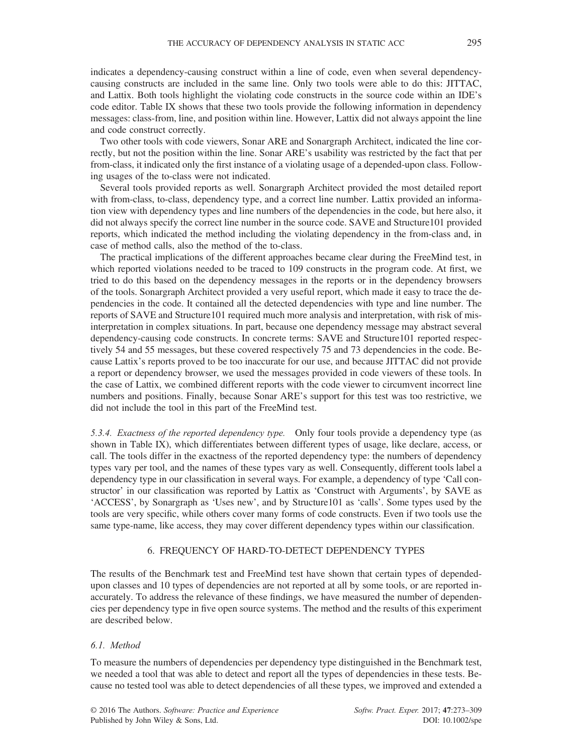indicates a dependency-causing construct within a line of code, even when several dependencycausing constructs are included in the same line. Only two tools were able to do this: JITTAC, and Lattix. Both tools highlight the violating code constructs in the source code within an IDE's code editor. Table IX shows that these two tools provide the following information in dependency messages: class-from, line, and position within line. However, Lattix did not always appoint the line and code construct correctly.

Two other tools with code viewers, Sonar ARE and Sonargraph Architect, indicated the line correctly, but not the position within the line. Sonar ARE's usability was restricted by the fact that per from-class, it indicated only the first instance of a violating usage of a depended-upon class. Following usages of the to-class were not indicated.

Several tools provided reports as well. Sonargraph Architect provided the most detailed report with from-class, to-class, dependency type, and a correct line number. Lattix provided an information view with dependency types and line numbers of the dependencies in the code, but here also, it did not always specify the correct line number in the source code. SAVE and Structure101 provided reports, which indicated the method including the violating dependency in the from-class and, in case of method calls, also the method of the to-class.

The practical implications of the different approaches became clear during the FreeMind test, in which reported violations needed to be traced to 109 constructs in the program code. At first, we tried to do this based on the dependency messages in the reports or in the dependency browsers of the tools. Sonargraph Architect provided a very useful report, which made it easy to trace the dependencies in the code. It contained all the detected dependencies with type and line number. The reports of SAVE and Structure101 required much more analysis and interpretation, with risk of misinterpretation in complex situations. In part, because one dependency message may abstract several dependency-causing code constructs. In concrete terms: SAVE and Structure101 reported respectively 54 and 55 messages, but these covered respectively 75 and 73 dependencies in the code. Because Lattix's reports proved to be too inaccurate for our use, and because JITTAC did not provide a report or dependency browser, we used the messages provided in code viewers of these tools. In the case of Lattix, we combined different reports with the code viewer to circumvent incorrect line numbers and positions. Finally, because Sonar ARE's support for this test was too restrictive, we did not include the tool in this part of the FreeMind test.

5.3.4. Exactness of the reported dependency type. Only four tools provide a dependency type (as shown in Table IX), which differentiates between different types of usage, like declare, access, or call. The tools differ in the exactness of the reported dependency type: the numbers of dependency types vary per tool, and the names of these types vary as well. Consequently, different tools label a dependency type in our classification in several ways. For example, a dependency of type 'Call constructor' in our classification was reported by Lattix as 'Construct with Arguments', by SAVE as 'ACCESS', by Sonargraph as 'Uses new', and by Structure101 as 'calls'. Some types used by the tools are very specific, while others cover many forms of code constructs. Even if two tools use the same type-name, like access, they may cover different dependency types within our classification.

#### 6. FREQUENCY OF HARD-TO-DETECT DEPENDENCY TYPES

The results of the Benchmark test and FreeMind test have shown that certain types of dependedupon classes and 10 types of dependencies are not reported at all by some tools, or are reported inaccurately. To address the relevance of these findings, we have measured the number of dependencies per dependency type in five open source systems. The method and the results of this experiment are described below.

## 6.1. Method

To measure the numbers of dependencies per dependency type distinguished in the Benchmark test, we needed a tool that was able to detect and report all the types of dependencies in these tests. Because no tested tool was able to detect dependencies of all these types, we improved and extended a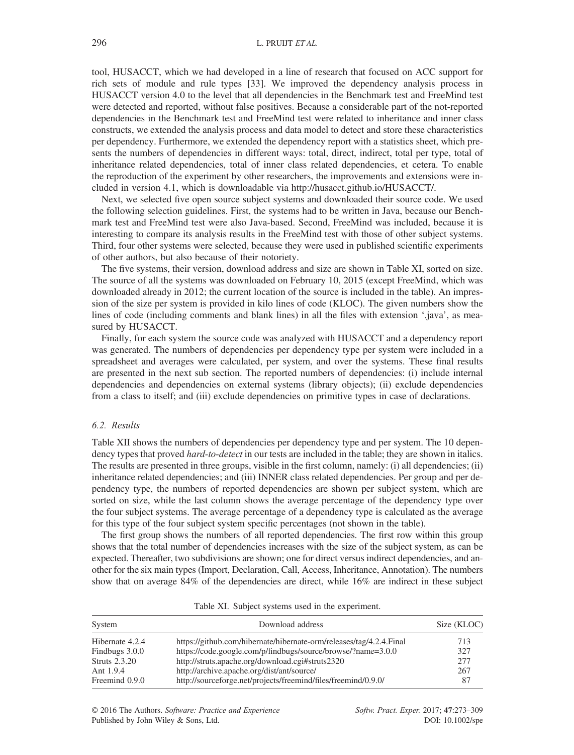tool, HUSACCT, which we had developed in a line of research that focused on ACC support for rich sets of module and rule types [33]. We improved the dependency analysis process in HUSACCT version 4.0 to the level that all dependencies in the Benchmark test and FreeMind test were detected and reported, without false positives. Because a considerable part of the not-reported dependencies in the Benchmark test and FreeMind test were related to inheritance and inner class constructs, we extended the analysis process and data model to detect and store these characteristics per dependency. Furthermore, we extended the dependency report with a statistics sheet, which presents the numbers of dependencies in different ways: total, direct, indirect, total per type, total of inheritance related dependencies, total of inner class related dependencies, et cetera. To enable the reproduction of the experiment by other researchers, the improvements and extensions were included in version 4.1, which is downloadable via<http://husacct.github.io/HUSACCT/>.

Next, we selected five open source subject systems and downloaded their source code. We used the following selection guidelines. First, the systems had to be written in Java, because our Benchmark test and FreeMind test were also Java-based. Second, FreeMind was included, because it is interesting to compare its analysis results in the FreeMind test with those of other subject systems. Third, four other systems were selected, because they were used in published scientific experiments of other authors, but also because of their notoriety.

The five systems, their version, download address and size are shown in Table XI, sorted on size. The source of all the systems was downloaded on February 10, 2015 (except FreeMind, which was downloaded already in 2012; the current location of the source is included in the table). An impression of the size per system is provided in kilo lines of code (KLOC). The given numbers show the lines of code (including comments and blank lines) in all the files with extension '.java', as measured by HUSACCT.

Finally, for each system the source code was analyzed with HUSACCT and a dependency report was generated. The numbers of dependencies per dependency type per system were included in a spreadsheet and averages were calculated, per system, and over the systems. These final results are presented in the next sub section. The reported numbers of dependencies: (i) include internal dependencies and dependencies on external systems (library objects); (ii) exclude dependencies from a class to itself; and (iii) exclude dependencies on primitive types in case of declarations.

## 6.2. Results

Table XII shows the numbers of dependencies per dependency type and per system. The 10 dependency types that proved *hard-to-detect* in our tests are included in the table; they are shown in italics. The results are presented in three groups, visible in the first column, namely: (i) all dependencies; (ii) inheritance related dependencies; and (iii) INNER class related dependencies. Per group and per dependency type, the numbers of reported dependencies are shown per subject system, which are sorted on size, while the last column shows the average percentage of the dependency type over the four subject systems. The average percentage of a dependency type is calculated as the average for this type of the four subject system specific percentages (not shown in the table).

The first group shows the numbers of all reported dependencies. The first row within this group shows that the total number of dependencies increases with the size of the subject system, as can be expected. Thereafter, two subdivisions are shown; one for direct versus indirect dependencies, and another for the six main types (Import, Declaration, Call, Access, Inheritance, Annotation). The numbers show that on average 84% of the dependencies are direct, while 16% are indirect in these subject

| System               | Download address                                                     | Size (KLOC) |
|----------------------|----------------------------------------------------------------------|-------------|
| Hibernate 4.2.4      | https://github.com/hibernate/hibernate-orm/releases/tag/4.2.4. Final | 713         |
| Findbugs 3.0.0       | https://code.google.com/p/findbugs/source/browse/?name=3.0.0         | 327         |
| <b>Struts</b> 2.3.20 | http://struts.apache.org/download.cgi#struts2320                     | 277         |
| Ant 1.9.4            | http://archive.apache.org/dist/ant/source/                           | 267         |
| Freemind 0.9.0       | http://sourceforge.net/projects/freemind/files/freemind/0.9.0/       | 87          |

Table XI. Subject systems used in the experiment.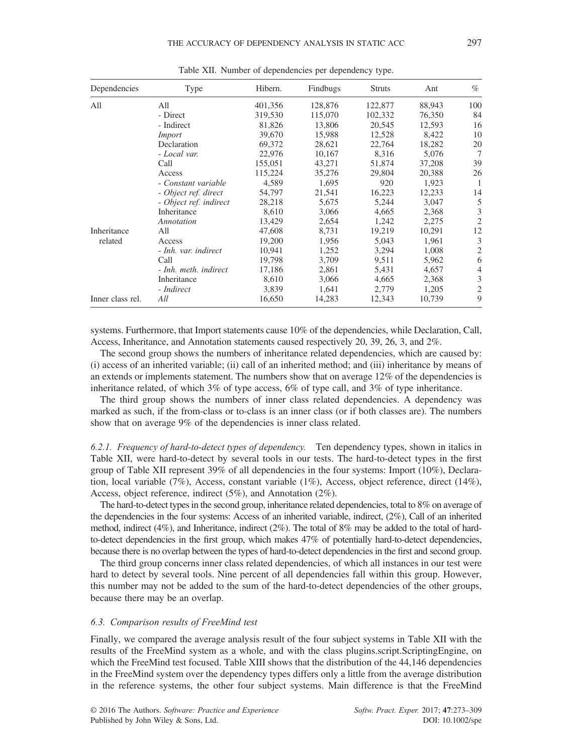| Dependencies     | Type                   | Hibern. | Findbugs | <b>Struts</b> | Ant    | $\%$           |
|------------------|------------------------|---------|----------|---------------|--------|----------------|
| All              | All                    | 401,356 | 128,876  | 122,877       | 88,943 | 100            |
|                  | - Direct               | 319,530 | 115,070  | 102,332       | 76,350 | 84             |
|                  | - Indirect             | 81,826  | 13,806   | 20,545        | 12,593 | 16             |
|                  | <i>Import</i>          | 39,670  | 15,988   | 12,528        | 8,422  | 10             |
|                  | Declaration            | 69,372  | 28,621   | 22,764        | 18,282 | 20             |
|                  | - Local var.           | 22,976  | 10,167   | 8,316         | 5,076  | 7              |
|                  | Call                   | 155,051 | 43,271   | 51,874        | 37,208 | 39             |
|                  | Access                 | 115.224 | 35,276   | 29,804        | 20,388 | 26             |
|                  | - Constant variable    | 4,589   | 1,695    | 920           | 1,923  | -1             |
|                  | - Object ref. direct   | 54,797  | 21,541   | 16,223        | 12,233 | 14             |
|                  | - Object ref. indirect | 28,218  | 5,675    | 5,244         | 3,047  | 5              |
|                  | Inheritance            | 8,610   | 3,066    | 4,665         | 2,368  | 3              |
|                  | Annotation             | 13,429  | 2,654    | 1,242         | 2,275  | $\overline{2}$ |
| Inheritance      | All                    | 47,608  | 8,731    | 19,219        | 10,291 | 12             |
| related          | Access                 | 19,200  | 1,956    | 5,043         | 1,961  | 3              |
|                  | - Inh. var. indirect   | 10,941  | 1,252    | 3,294         | 1,008  | $\overline{2}$ |
|                  | Call                   | 19,798  | 3,709    | 9,511         | 5,962  | 6              |
|                  | - Inh. meth. indirect  | 17.186  | 2,861    | 5,431         | 4.657  | $\overline{4}$ |
|                  | Inheritance            | 8,610   | 3,066    | 4,665         | 2,368  | 3              |
|                  | - Indirect             | 3,839   | 1,641    | 2,779         | 1,205  | $\overline{2}$ |
| Inner class rel. | All                    | 16,650  | 14,283   | 12,343        | 10,739 | 9              |

Table XII. Number of dependencies per dependency type.

systems. Furthermore, that Import statements cause 10% of the dependencies, while Declaration, Call, Access, Inheritance, and Annotation statements caused respectively 20, 39, 26, 3, and 2%.

The second group shows the numbers of inheritance related dependencies, which are caused by: (i) access of an inherited variable; (ii) call of an inherited method; and (iii) inheritance by means of an extends or implements statement. The numbers show that on average 12% of the dependencies is inheritance related, of which 3% of type access, 6% of type call, and 3% of type inheritance.

The third group shows the numbers of inner class related dependencies. A dependency was marked as such, if the from-class or to-class is an inner class (or if both classes are). The numbers show that on average 9% of the dependencies is inner class related.

6.2.1. Frequency of hard-to-detect types of dependency. Ten dependency types, shown in italics in Table XII, were hard-to-detect by several tools in our tests. The hard-to-detect types in the first group of Table XII represent 39% of all dependencies in the four systems: Import (10%), Declaration, local variable (7%), Access, constant variable (1%), Access, object reference, direct (14%), Access, object reference, indirect (5%), and Annotation (2%).

The hard-to-detect types in the second group, inheritance related dependencies, total to 8% on average of the dependencies in the four systems: Access of an inherited variable, indirect, (2%), Call of an inherited method, indirect  $(4\%)$ , and Inheritance, indirect  $(2\%)$ . The total of 8% may be added to the total of hardto-detect dependencies in the first group, which makes 47% of potentially hard-to-detect dependencies, because there is no overlap between the types of hard-to-detect dependencies in the first and second group.

The third group concerns inner class related dependencies, of which all instances in our test were hard to detect by several tools. Nine percent of all dependencies fall within this group. However, this number may not be added to the sum of the hard-to-detect dependencies of the other groups, because there may be an overlap.

## 6.3. Comparison results of FreeMind test

Finally, we compared the average analysis result of the four subject systems in Table XII with the results of the FreeMind system as a whole, and with the class plugins.script.ScriptingEngine, on which the FreeMind test focused. Table XIII shows that the distribution of the 44,146 dependencies in the FreeMind system over the dependency types differs only a little from the average distribution in the reference systems, the other four subject systems. Main difference is that the FreeMind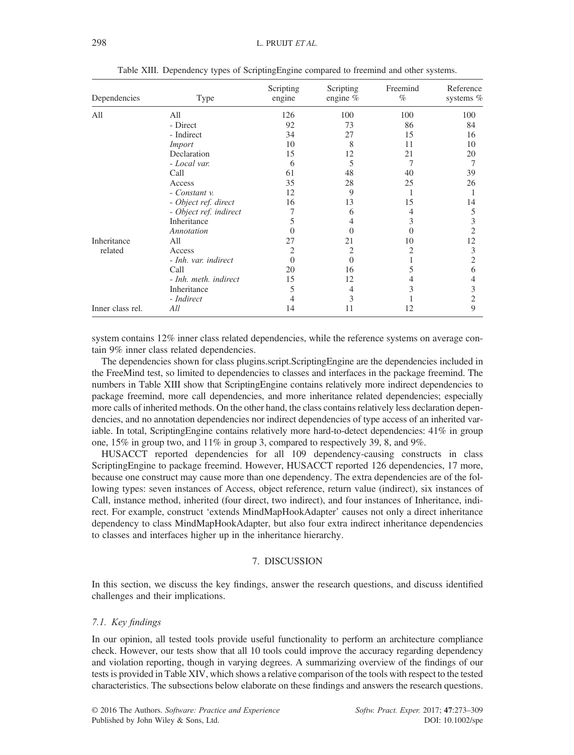| Dependencies     | Type                   | Scripting<br>engine | Scripting<br>engine $%$ | Freemind<br>$\%$ | Reference<br>systems $%$ |
|------------------|------------------------|---------------------|-------------------------|------------------|--------------------------|
| All              | All                    | 126                 | 100                     | 100              | 100                      |
|                  | - Direct               | 92                  | 73                      | 86               | 84                       |
|                  | - Indirect             | 34                  | 27                      | 15               | 16                       |
|                  | Import                 | 10                  | 8                       | 11               | 10                       |
|                  | Declaration            | 15                  | 12                      | 21               | 20                       |
|                  | - Local var.           | 6                   | 5                       |                  | 7                        |
|                  | Call                   | 61                  | 48                      | 40               | 39                       |
|                  | Access                 | 35                  | 28                      | 25               | 26                       |
|                  | - Constant v.          | 12                  | 9                       |                  |                          |
|                  | - Object ref. direct   | 16                  | 13                      | 15               | 14                       |
|                  | - Object ref. indirect | 7                   | 6                       | 4                | 5                        |
|                  | Inheritance            | 5                   |                         | 3                | 3                        |
|                  | Annotation             | $\Omega$            |                         | 0                | 2                        |
| Inheritance      | All                    | 27                  | 21                      | 10               | 12                       |
| related          | Access                 | 2                   | 2                       | 2                | 3                        |
|                  | - Inh. var. indirect   | $\Omega$            | $\mathcal{L}$           |                  | 2                        |
|                  | Call                   | 20                  | 16                      | 5                | 6                        |
|                  | - Inh. meth. indirect  | 15                  | 12                      | 4                | 4                        |
|                  | Inheritance            | 5                   | 4                       | 3                | 3                        |
|                  | - Indirect             | 4                   | 3                       |                  | 2                        |
| Inner class rel. | All                    | 14                  | 11                      | 12               | 9                        |

Table XIII. Dependency types of ScriptingEngine compared to freemind and other systems.

system contains 12% inner class related dependencies, while the reference systems on average contain 9% inner class related dependencies.

The dependencies shown for class plugins.script.ScriptingEngine are the dependencies included in the FreeMind test, so limited to dependencies to classes and interfaces in the package freemind. The numbers in Table XIII show that ScriptingEngine contains relatively more indirect dependencies to package freemind, more call dependencies, and more inheritance related dependencies; especially more calls of inherited methods. On the other hand, the class contains relatively less declaration dependencies, and no annotation dependencies nor indirect dependencies of type access of an inherited variable. In total, ScriptingEngine contains relatively more hard-to-detect dependencies: 41% in group one, 15% in group two, and 11% in group 3, compared to respectively 39, 8, and 9%.

HUSACCT reported dependencies for all 109 dependency-causing constructs in class ScriptingEngine to package freemind. However, HUSACCT reported 126 dependencies, 17 more, because one construct may cause more than one dependency. The extra dependencies are of the following types: seven instances of Access, object reference, return value (indirect), six instances of Call, instance method, inherited (four direct, two indirect), and four instances of Inheritance, indirect. For example, construct 'extends MindMapHookAdapter' causes not only a direct inheritance dependency to class MindMapHookAdapter, but also four extra indirect inheritance dependencies to classes and interfaces higher up in the inheritance hierarchy.

## 7. DISCUSSION

In this section, we discuss the key findings, answer the research questions, and discuss identified challenges and their implications.

## 7.1. Key findings

In our opinion, all tested tools provide useful functionality to perform an architecture compliance check. However, our tests show that all 10 tools could improve the accuracy regarding dependency and violation reporting, though in varying degrees. A summarizing overview of the findings of our tests is provided in Table XIV, which shows a relative comparison of the tools with respect to the tested characteristics. The subsections below elaborate on these findings and answers the research questions.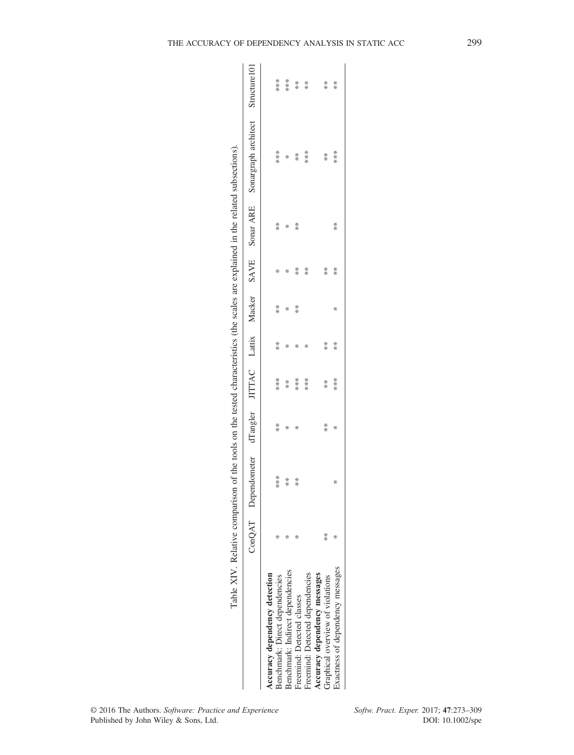subsections) Table XIV. Relative comparison of the tools on the tested characteristics (the scales are explained in the related subsections). related explained in the  $\frac{1}{2}$  $\sim 1$  $\arctan \frac{1}{2}$ on the tested cha  $t_{\text{noole}}$  $\gamma$ f the  $\tilde{c}$ Ą j Table XIV Relative

|                                  |               | THE VEH V. THE STATE COLLECTION OF THE RESIDENT CHARGE IN THE STATE STATES AND THE STATE OF THE RESIDENT OF A STATE OF A STATE OF A STATE OF A STATE OF A STATE OF A STATE OF A STATE OF A STATE OF A STATE OF A STATE OF A ST |                                               |                               |                                               |         |                                                |         |                                                                                                   |                                                |
|----------------------------------|---------------|--------------------------------------------------------------------------------------------------------------------------------------------------------------------------------------------------------------------------------|-----------------------------------------------|-------------------------------|-----------------------------------------------|---------|------------------------------------------------|---------|---------------------------------------------------------------------------------------------------|------------------------------------------------|
|                                  |               |                                                                                                                                                                                                                                |                                               |                               |                                               |         |                                                |         | ConQAT Dependometer dTangler JITTAC Lattix Macker SAVE SonarARE Sonargraph architect Structure101 |                                                |
| Accuracy dependency detection    |               |                                                                                                                                                                                                                                |                                               |                               |                                               |         |                                                |         |                                                                                                   |                                                |
| senchmark: Direct dependencies   |               | *<br>*<br>*                                                                                                                                                                                                                    | $*$                                           |                               | $*$                                           | $*$     | ∗                                              | $*$     |                                                                                                   |                                                |
| Benchmark: Indirect dependencies |               | $\begin{array}{ccc} \ast & \ast \\ \ast & \ast \end{array}$                                                                                                                                                                    | * *                                           |                               | ₩                                             | $*$ $*$ | ₩                                              | $*$ $*$ | *<br>* * * *<br>* * *                                                                             |                                                |
| Treemind: Detected classes       |               |                                                                                                                                                                                                                                |                                               |                               | $*$                                           |         | * *                                            |         |                                                                                                   |                                                |
| reemind: Detected dependencies   |               |                                                                                                                                                                                                                                |                                               | * * * *<br>* * * *<br>* * * * | $\ast$                                        |         |                                                |         |                                                                                                   | * * * *<br>* * * *                             |
| Accuracy dependency messages     |               |                                                                                                                                                                                                                                |                                               |                               |                                               |         |                                                |         |                                                                                                   |                                                |
| Graphical overview of violations | $\frac{1}{2}$ |                                                                                                                                                                                                                                | $\begin{array}{cc} * & * \ * & * \end{array}$ | * *<br>* *                    | $\begin{array}{cc} * & * \ * & * \end{array}$ |         | $\begin{array}{cc} * & * \\ * & * \end{array}$ |         | $\begin{array}{cc} * & * \ * & * \ * & * \end{array}$                                             | $\begin{array}{cc} * & * \\ * & * \end{array}$ |
| Exactness of dependency messages |               | ₩                                                                                                                                                                                                                              |                                               |                               |                                               | ∗       |                                                | $*$     |                                                                                                   |                                                |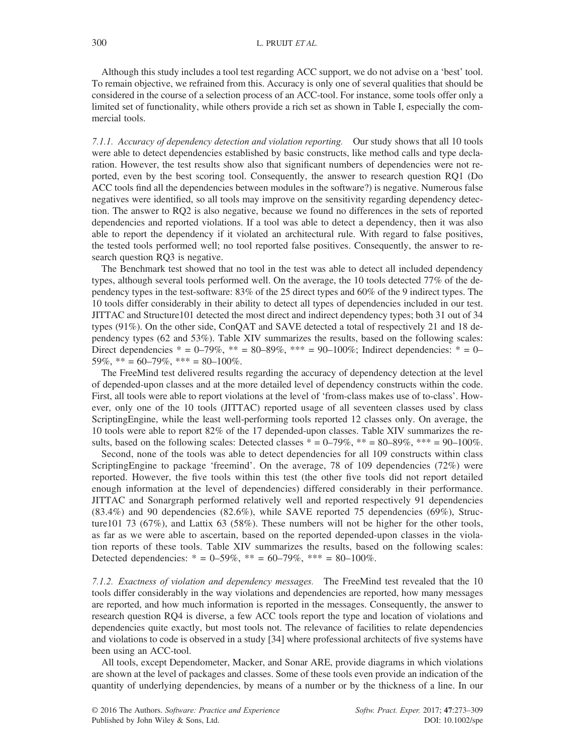Although this study includes a tool test regarding ACC support, we do not advise on a 'best' tool. To remain objective, we refrained from this. Accuracy is only one of several qualities that should be considered in the course of a selection process of an ACC-tool. For instance, some tools offer only a limited set of functionality, while others provide a rich set as shown in Table I, especially the commercial tools.

7.1.1. Accuracy of dependency detection and violation reporting. Our study shows that all 10 tools were able to detect dependencies established by basic constructs, like method calls and type declaration. However, the test results show also that significant numbers of dependencies were not reported, even by the best scoring tool. Consequently, the answer to research question RQ1 (Do ACC tools find all the dependencies between modules in the software?) is negative. Numerous false negatives were identified, so all tools may improve on the sensitivity regarding dependency detection. The answer to RQ2 is also negative, because we found no differences in the sets of reported dependencies and reported violations. If a tool was able to detect a dependency, then it was also able to report the dependency if it violated an architectural rule. With regard to false positives, the tested tools performed well; no tool reported false positives. Consequently, the answer to research question RQ3 is negative.

The Benchmark test showed that no tool in the test was able to detect all included dependency types, although several tools performed well. On the average, the 10 tools detected 77% of the dependency types in the test-software: 83% of the 25 direct types and 60% of the 9 indirect types. The 10 tools differ considerably in their ability to detect all types of dependencies included in our test. JITTAC and Structure101 detected the most direct and indirect dependency types; both 31 out of 34 types (91%). On the other side, ConQAT and SAVE detected a total of respectively 21 and 18 dependency types (62 and 53%). Table XIV summarizes the results, based on the following scales: Direct dependencies  $* = 0-79\%$ ,  $** = 80-89\%$ ,  $*** = 90-100\%$ ; Indirect dependencies:  $* = 0-$ 59%, \*\* = 60–79%, \*\*\* = 80–100%.

The FreeMind test delivered results regarding the accuracy of dependency detection at the level of depended-upon classes and at the more detailed level of dependency constructs within the code. First, all tools were able to report violations at the level of 'from-class makes use of to-class'. However, only one of the 10 tools (JITTAC) reported usage of all seventeen classes used by class ScriptingEngine, while the least well-performing tools reported 12 classes only. On average, the 10 tools were able to report 82% of the 17 depended-upon classes. Table XIV summarizes the results, based on the following scales: Detected classes  $* = 0-79\%$ ,  $** = 80-89\%$ ,  $*** = 90-100\%$ .

Second, none of the tools was able to detect dependencies for all 109 constructs within class ScriptingEngine to package 'freemind'. On the average, 78 of 109 dependencies  $(72%)$  were reported. However, the five tools within this test (the other five tools did not report detailed enough information at the level of dependencies) differed considerably in their performance. JITTAC and Sonargraph performed relatively well and reported respectively 91 dependencies (83.4%) and 90 dependencies (82.6%), while SAVE reported 75 dependencies (69%), Structure101 73 (67%), and Lattix 63 (58%). These numbers will not be higher for the other tools, as far as we were able to ascertain, based on the reported depended-upon classes in the violation reports of these tools. Table XIV summarizes the results, based on the following scales: Detected dependencies:  $* = 0-59\%$ ,  $** = 60-79\%$ ,  $*** = 80-100\%$ .

7.1.2. Exactness of violation and dependency messages. The FreeMind test revealed that the 10 tools differ considerably in the way violations and dependencies are reported, how many messages are reported, and how much information is reported in the messages. Consequently, the answer to research question RQ4 is diverse, a few ACC tools report the type and location of violations and dependencies quite exactly, but most tools not. The relevance of facilities to relate dependencies and violations to code is observed in a study [34] where professional architects of five systems have been using an ACC-tool.

All tools, except Dependometer, Macker, and Sonar ARE, provide diagrams in which violations are shown at the level of packages and classes. Some of these tools even provide an indication of the quantity of underlying dependencies, by means of a number or by the thickness of a line. In our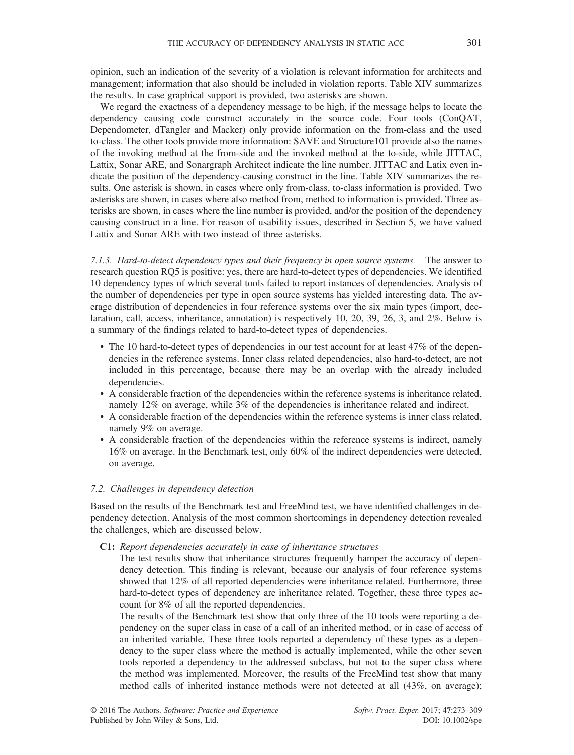opinion, such an indication of the severity of a violation is relevant information for architects and management; information that also should be included in violation reports. Table XIV summarizes the results. In case graphical support is provided, two asterisks are shown.

We regard the exactness of a dependency message to be high, if the message helps to locate the dependency causing code construct accurately in the source code. Four tools (ConQAT, Dependometer, dTangler and Macker) only provide information on the from-class and the used to-class. The other tools provide more information: SAVE and Structure101 provide also the names of the invoking method at the from-side and the invoked method at the to-side, while JITTAC, Lattix, Sonar ARE, and Sonargraph Architect indicate the line number. JITTAC and Latix even indicate the position of the dependency-causing construct in the line. Table XIV summarizes the results. One asterisk is shown, in cases where only from-class, to-class information is provided. Two asterisks are shown, in cases where also method from, method to information is provided. Three asterisks are shown, in cases where the line number is provided, and/or the position of the dependency causing construct in a line. For reason of usability issues, described in Section 5, we have valued Lattix and Sonar ARE with two instead of three asterisks.

7.1.3. Hard-to-detect dependency types and their frequency in open source systems. The answer to research question RQ5 is positive: yes, there are hard-to-detect types of dependencies. We identified 10 dependency types of which several tools failed to report instances of dependencies. Analysis of the number of dependencies per type in open source systems has yielded interesting data. The average distribution of dependencies in four reference systems over the six main types (import, declaration, call, access, inheritance, annotation) is respectively 10, 20, 39, 26, 3, and 2%. Below is a summary of the findings related to hard-to-detect types of dependencies.

- The 10 hard-to-detect types of dependencies in our test account for at least 47% of the dependencies in the reference systems. Inner class related dependencies, also hard-to-detect, are not included in this percentage, because there may be an overlap with the already included dependencies.
- A considerable fraction of the dependencies within the reference systems is inheritance related, namely 12% on average, while 3% of the dependencies is inheritance related and indirect.
- A considerable fraction of the dependencies within the reference systems is inner class related, namely 9% on average.
- A considerable fraction of the dependencies within the reference systems is indirect, namely 16% on average. In the Benchmark test, only 60% of the indirect dependencies were detected, on average.

## 7.2. Challenges in dependency detection

Based on the results of the Benchmark test and FreeMind test, we have identified challenges in dependency detection. Analysis of the most common shortcomings in dependency detection revealed the challenges, which are discussed below.

#### C1: Report dependencies accurately in case of inheritance structures

The test results show that inheritance structures frequently hamper the accuracy of dependency detection. This finding is relevant, because our analysis of four reference systems showed that 12% of all reported dependencies were inheritance related. Furthermore, three hard-to-detect types of dependency are inheritance related. Together, these three types account for 8% of all the reported dependencies.

The results of the Benchmark test show that only three of the 10 tools were reporting a dependency on the super class in case of a call of an inherited method, or in case of access of an inherited variable. These three tools reported a dependency of these types as a dependency to the super class where the method is actually implemented, while the other seven tools reported a dependency to the addressed subclass, but not to the super class where the method was implemented. Moreover, the results of the FreeMind test show that many method calls of inherited instance methods were not detected at all (43%, on average);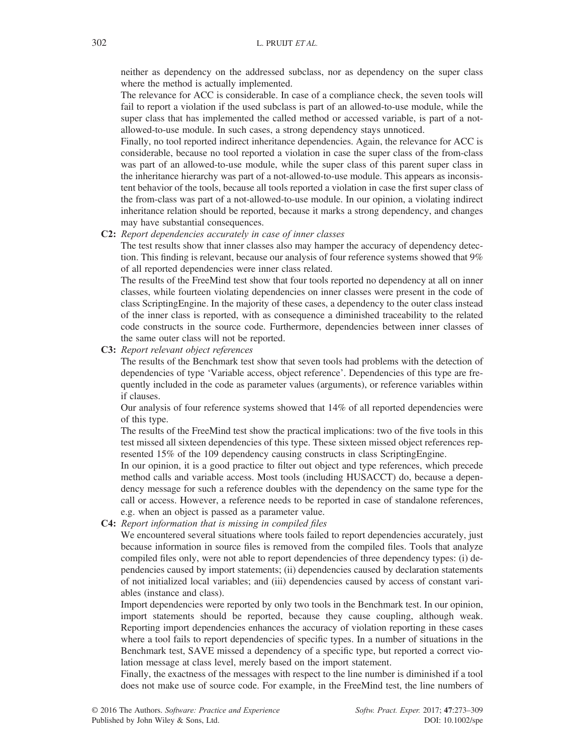neither as dependency on the addressed subclass, nor as dependency on the super class where the method is actually implemented.

The relevance for ACC is considerable. In case of a compliance check, the seven tools will fail to report a violation if the used subclass is part of an allowed-to-use module, while the super class that has implemented the called method or accessed variable, is part of a notallowed-to-use module. In such cases, a strong dependency stays unnoticed.

Finally, no tool reported indirect inheritance dependencies. Again, the relevance for ACC is considerable, because no tool reported a violation in case the super class of the from-class was part of an allowed-to-use module, while the super class of this parent super class in the inheritance hierarchy was part of a not-allowed-to-use module. This appears as inconsistent behavior of the tools, because all tools reported a violation in case the first super class of the from-class was part of a not-allowed-to-use module. In our opinion, a violating indirect inheritance relation should be reported, because it marks a strong dependency, and changes may have substantial consequences.

C2: Report dependencies accurately in case of inner classes

The test results show that inner classes also may hamper the accuracy of dependency detection. This finding is relevant, because our analysis of four reference systems showed that 9% of all reported dependencies were inner class related.

The results of the FreeMind test show that four tools reported no dependency at all on inner classes, while fourteen violating dependencies on inner classes were present in the code of class ScriptingEngine. In the majority of these cases, a dependency to the outer class instead of the inner class is reported, with as consequence a diminished traceability to the related code constructs in the source code. Furthermore, dependencies between inner classes of the same outer class will not be reported.

C3: Report relevant object references

The results of the Benchmark test show that seven tools had problems with the detection of dependencies of type 'Variable access, object reference'. Dependencies of this type are frequently included in the code as parameter values (arguments), or reference variables within if clauses.

Our analysis of four reference systems showed that 14% of all reported dependencies were of this type.

The results of the FreeMind test show the practical implications: two of the five tools in this test missed all sixteen dependencies of this type. These sixteen missed object references represented 15% of the 109 dependency causing constructs in class ScriptingEngine.

In our opinion, it is a good practice to filter out object and type references, which precede method calls and variable access. Most tools (including HUSACCT) do, because a dependency message for such a reference doubles with the dependency on the same type for the call or access. However, a reference needs to be reported in case of standalone references, e.g. when an object is passed as a parameter value.

C4: Report information that is missing in compiled files

We encountered several situations where tools failed to report dependencies accurately, just because information in source files is removed from the compiled files. Tools that analyze compiled files only, were not able to report dependencies of three dependency types: (i) dependencies caused by import statements; (ii) dependencies caused by declaration statements of not initialized local variables; and (iii) dependencies caused by access of constant variables (instance and class).

Import dependencies were reported by only two tools in the Benchmark test. In our opinion, import statements should be reported, because they cause coupling, although weak. Reporting import dependencies enhances the accuracy of violation reporting in these cases where a tool fails to report dependencies of specific types. In a number of situations in the Benchmark test, SAVE missed a dependency of a specific type, but reported a correct violation message at class level, merely based on the import statement.

Finally, the exactness of the messages with respect to the line number is diminished if a tool does not make use of source code. For example, in the FreeMind test, the line numbers of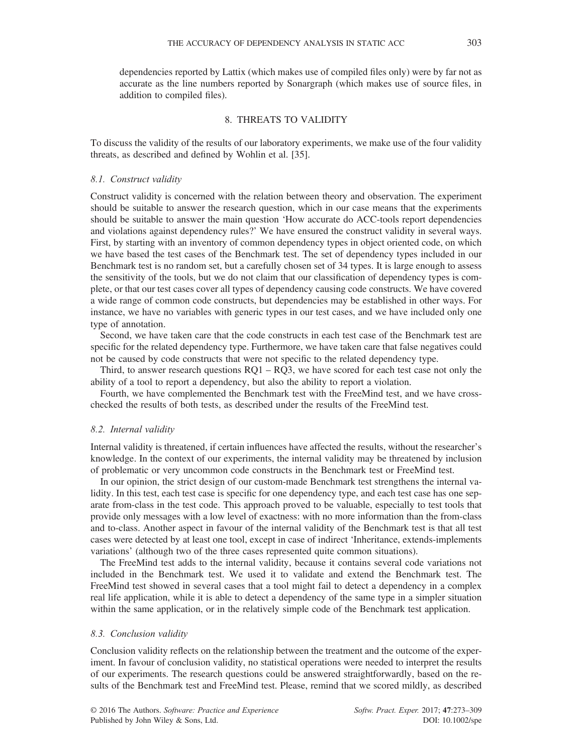dependencies reported by Lattix (which makes use of compiled files only) were by far not as accurate as the line numbers reported by Sonargraph (which makes use of source files, in

addition to compiled files).

## 8. THREATS TO VALIDITY

To discuss the validity of the results of our laboratory experiments, we make use of the four validity threats, as described and defined by Wohlin et al. [35].

#### 8.1. Construct validity

Construct validity is concerned with the relation between theory and observation. The experiment should be suitable to answer the research question, which in our case means that the experiments should be suitable to answer the main question 'How accurate do ACC-tools report dependencies and violations against dependency rules?' We have ensured the construct validity in several ways. First, by starting with an inventory of common dependency types in object oriented code, on which we have based the test cases of the Benchmark test. The set of dependency types included in our Benchmark test is no random set, but a carefully chosen set of 34 types. It is large enough to assess the sensitivity of the tools, but we do not claim that our classification of dependency types is complete, or that our test cases cover all types of dependency causing code constructs. We have covered a wide range of common code constructs, but dependencies may be established in other ways. For instance, we have no variables with generic types in our test cases, and we have included only one type of annotation.

Second, we have taken care that the code constructs in each test case of the Benchmark test are specific for the related dependency type. Furthermore, we have taken care that false negatives could not be caused by code constructs that were not specific to the related dependency type.

Third, to answer research questions  $RQ1 - RQ3$ , we have scored for each test case not only the ability of a tool to report a dependency, but also the ability to report a violation.

Fourth, we have complemented the Benchmark test with the FreeMind test, and we have crosschecked the results of both tests, as described under the results of the FreeMind test.

#### 8.2. Internal validity

Internal validity is threatened, if certain influences have affected the results, without the researcher's knowledge. In the context of our experiments, the internal validity may be threatened by inclusion of problematic or very uncommon code constructs in the Benchmark test or FreeMind test.

In our opinion, the strict design of our custom-made Benchmark test strengthens the internal validity. In this test, each test case is specific for one dependency type, and each test case has one separate from-class in the test code. This approach proved to be valuable, especially to test tools that provide only messages with a low level of exactness: with no more information than the from-class and to-class. Another aspect in favour of the internal validity of the Benchmark test is that all test cases were detected by at least one tool, except in case of indirect 'Inheritance, extends-implements variations' (although two of the three cases represented quite common situations).

The FreeMind test adds to the internal validity, because it contains several code variations not included in the Benchmark test. We used it to validate and extend the Benchmark test. The FreeMind test showed in several cases that a tool might fail to detect a dependency in a complex real life application, while it is able to detect a dependency of the same type in a simpler situation within the same application, or in the relatively simple code of the Benchmark test application.

#### 8.3. Conclusion validity

Conclusion validity reflects on the relationship between the treatment and the outcome of the experiment. In favour of conclusion validity, no statistical operations were needed to interpret the results of our experiments. The research questions could be answered straightforwardly, based on the results of the Benchmark test and FreeMind test. Please, remind that we scored mildly, as described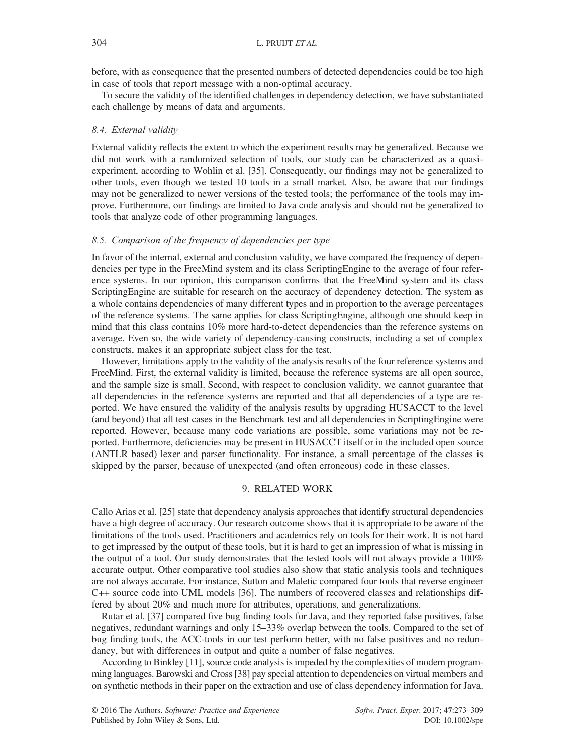before, with as consequence that the presented numbers of detected dependencies could be too high in case of tools that report message with a non-optimal accuracy.

To secure the validity of the identified challenges in dependency detection, we have substantiated each challenge by means of data and arguments.

#### 8.4. External validity

External validity reflects the extent to which the experiment results may be generalized. Because we did not work with a randomized selection of tools, our study can be characterized as a quasiexperiment, according to Wohlin et al. [35]. Consequently, our findings may not be generalized to other tools, even though we tested 10 tools in a small market. Also, be aware that our findings may not be generalized to newer versions of the tested tools; the performance of the tools may improve. Furthermore, our findings are limited to Java code analysis and should not be generalized to tools that analyze code of other programming languages.

#### 8.5. Comparison of the frequency of dependencies per type

In favor of the internal, external and conclusion validity, we have compared the frequency of dependencies per type in the FreeMind system and its class ScriptingEngine to the average of four reference systems. In our opinion, this comparison confirms that the FreeMind system and its class ScriptingEngine are suitable for research on the accuracy of dependency detection. The system as a whole contains dependencies of many different types and in proportion to the average percentages of the reference systems. The same applies for class ScriptingEngine, although one should keep in mind that this class contains 10% more hard-to-detect dependencies than the reference systems on average. Even so, the wide variety of dependency-causing constructs, including a set of complex constructs, makes it an appropriate subject class for the test.

However, limitations apply to the validity of the analysis results of the four reference systems and FreeMind. First, the external validity is limited, because the reference systems are all open source, and the sample size is small. Second, with respect to conclusion validity, we cannot guarantee that all dependencies in the reference systems are reported and that all dependencies of a type are reported. We have ensured the validity of the analysis results by upgrading HUSACCT to the level (and beyond) that all test cases in the Benchmark test and all dependencies in ScriptingEngine were reported. However, because many code variations are possible, some variations may not be reported. Furthermore, deficiencies may be present in HUSACCT itself or in the included open source (ANTLR based) lexer and parser functionality. For instance, a small percentage of the classes is skipped by the parser, because of unexpected (and often erroneous) code in these classes.

## 9. RELATED WORK

Callo Arias et al. [25] state that dependency analysis approaches that identify structural dependencies have a high degree of accuracy. Our research outcome shows that it is appropriate to be aware of the limitations of the tools used. Practitioners and academics rely on tools for their work. It is not hard to get impressed by the output of these tools, but it is hard to get an impression of what is missing in the output of a tool. Our study demonstrates that the tested tools will not always provide a 100% accurate output. Other comparative tool studies also show that static analysis tools and techniques are not always accurate. For instance, Sutton and Maletic compared four tools that reverse engineer C++ source code into UML models [36]. The numbers of recovered classes and relationships differed by about 20% and much more for attributes, operations, and generalizations.

Rutar et al. [37] compared five bug finding tools for Java, and they reported false positives, false negatives, redundant warnings and only 15–33% overlap between the tools. Compared to the set of bug finding tools, the ACC-tools in our test perform better, with no false positives and no redundancy, but with differences in output and quite a number of false negatives.

According to Binkley [11], source code analysis is impeded by the complexities of modern programming languages. Barowski and Cross [38] pay special attention to dependencies on virtual members and on synthetic methods in their paper on the extraction and use of class dependency information for Java.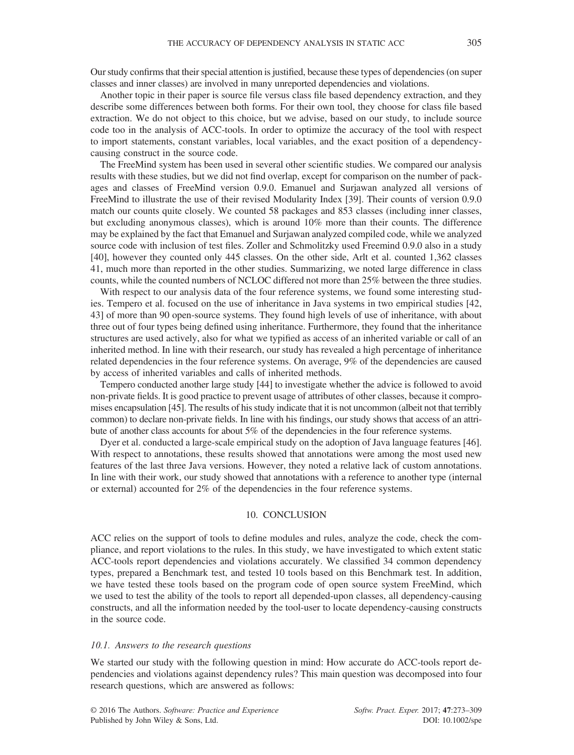Our study confirms that their special attention is justified, because these types of dependencies (on super classes and inner classes) are involved in many unreported dependencies and violations.

Another topic in their paper is source file versus class file based dependency extraction, and they describe some differences between both forms. For their own tool, they choose for class file based extraction. We do not object to this choice, but we advise, based on our study, to include source code too in the analysis of ACC-tools. In order to optimize the accuracy of the tool with respect to import statements, constant variables, local variables, and the exact position of a dependencycausing construct in the source code.

The FreeMind system has been used in several other scientific studies. We compared our analysis results with these studies, but we did not find overlap, except for comparison on the number of packages and classes of FreeMind version 0.9.0. Emanuel and Surjawan analyzed all versions of FreeMind to illustrate the use of their revised Modularity Index [39]. Their counts of version 0.9.0 match our counts quite closely. We counted 58 packages and 853 classes (including inner classes, but excluding anonymous classes), which is around 10% more than their counts. The difference may be explained by the fact that Emanuel and Surjawan analyzed compiled code, while we analyzed source code with inclusion of test files. Zoller and Schmolitzky used Freemind 0.9.0 also in a study [40], however they counted only 445 classes. On the other side, Arlt et al. counted 1,362 classes 41, much more than reported in the other studies. Summarizing, we noted large difference in class counts, while the counted numbers of NCLOC differed not more than 25% between the three studies.

With respect to our analysis data of the four reference systems, we found some interesting studies. Tempero et al. focused on the use of inheritance in Java systems in two empirical studies [42, 43] of more than 90 open-source systems. They found high levels of use of inheritance, with about three out of four types being defined using inheritance. Furthermore, they found that the inheritance structures are used actively, also for what we typified as access of an inherited variable or call of an inherited method. In line with their research, our study has revealed a high percentage of inheritance related dependencies in the four reference systems. On average, 9% of the dependencies are caused by access of inherited variables and calls of inherited methods.

Tempero conducted another large study [44] to investigate whether the advice is followed to avoid non-private fields. It is good practice to prevent usage of attributes of other classes, because it compromises encapsulation [45]. The results of his study indicate that it is not uncommon (albeit not that terribly common) to declare non-private fields. In line with his findings, our study shows that access of an attribute of another class accounts for about 5% of the dependencies in the four reference systems.

Dyer et al. conducted a large-scale empirical study on the adoption of Java language features [46]. With respect to annotations, these results showed that annotations were among the most used new features of the last three Java versions. However, they noted a relative lack of custom annotations. In line with their work, our study showed that annotations with a reference to another type (internal or external) accounted for 2% of the dependencies in the four reference systems.

#### 10. CONCLUSION

ACC relies on the support of tools to define modules and rules, analyze the code, check the compliance, and report violations to the rules. In this study, we have investigated to which extent static ACC-tools report dependencies and violations accurately. We classified 34 common dependency types, prepared a Benchmark test, and tested 10 tools based on this Benchmark test. In addition, we have tested these tools based on the program code of open source system FreeMind, which we used to test the ability of the tools to report all depended-upon classes, all dependency-causing constructs, and all the information needed by the tool-user to locate dependency-causing constructs in the source code.

#### 10.1. Answers to the research questions

We started our study with the following question in mind: How accurate do ACC-tools report dependencies and violations against dependency rules? This main question was decomposed into four research questions, which are answered as follows: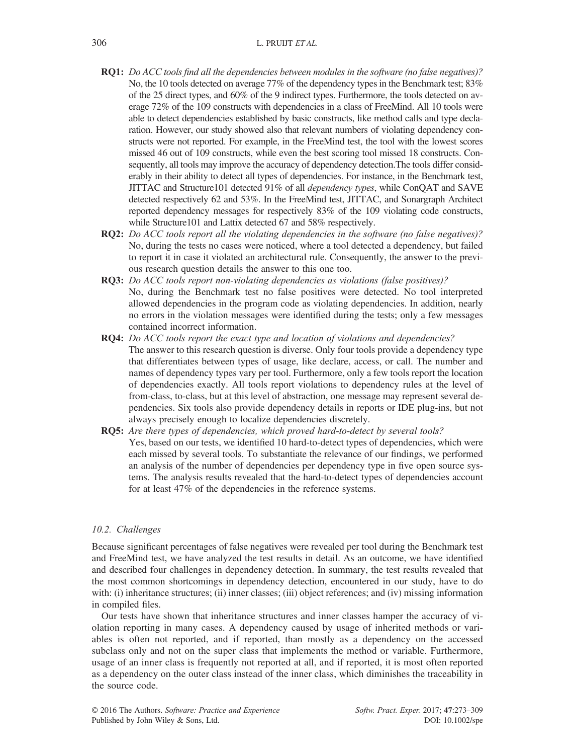- RQ1: Do ACC tools find all the dependencies between modules in the software (no false negatives)? No, the 10 tools detected on average 77% of the dependency types in the Benchmark test; 83% of the 25 direct types, and 60% of the 9 indirect types. Furthermore, the tools detected on average 72% of the 109 constructs with dependencies in a class of FreeMind. All 10 tools were able to detect dependencies established by basic constructs, like method calls and type declaration. However, our study showed also that relevant numbers of violating dependency constructs were not reported. For example, in the FreeMind test, the tool with the lowest scores missed 46 out of 109 constructs, while even the best scoring tool missed 18 constructs. Consequently, all tools may improve the accuracy of dependency detection.The tools differ considerably in their ability to detect all types of dependencies. For instance, in the Benchmark test, JITTAC and Structure101 detected 91% of all dependency types, while ConQAT and SAVE detected respectively 62 and 53%. In the FreeMind test, JITTAC, and Sonargraph Architect reported dependency messages for respectively 83% of the 109 violating code constructs, while Structure101 and Lattix detected 67 and 58% respectively.
- RO2: Do ACC tools report all the violating dependencies in the software (no false negatives)? No, during the tests no cases were noticed, where a tool detected a dependency, but failed to report it in case it violated an architectural rule. Consequently, the answer to the previous research question details the answer to this one too.
- RQ3: Do ACC tools report non-violating dependencies as violations (false positives)? No, during the Benchmark test no false positives were detected. No tool interpreted allowed dependencies in the program code as violating dependencies. In addition, nearly no errors in the violation messages were identified during the tests; only a few messages contained incorrect information.
- RQ4: Do ACC tools report the exact type and location of violations and dependencies? The answer to this research question is diverse. Only four tools provide a dependency type that differentiates between types of usage, like declare, access, or call. The number and names of dependency types vary per tool. Furthermore, only a few tools report the location of dependencies exactly. All tools report violations to dependency rules at the level of from-class, to-class, but at this level of abstraction, one message may represent several dependencies. Six tools also provide dependency details in reports or IDE plug-ins, but not always precisely enough to localize dependencies discretely.
- RQ5: Are there types of dependencies, which proved hard-to-detect by several tools? Yes, based on our tests, we identified 10 hard-to-detect types of dependencies, which were each missed by several tools. To substantiate the relevance of our findings, we performed an analysis of the number of dependencies per dependency type in five open source systems. The analysis results revealed that the hard-to-detect types of dependencies account for at least 47% of the dependencies in the reference systems.

#### 10.2. Challenges

Because significant percentages of false negatives were revealed per tool during the Benchmark test and FreeMind test, we have analyzed the test results in detail. As an outcome, we have identified and described four challenges in dependency detection. In summary, the test results revealed that the most common shortcomings in dependency detection, encountered in our study, have to do with: (i) inheritance structures; (ii) inner classes; (iii) object references; and (iv) missing information in compiled files.

Our tests have shown that inheritance structures and inner classes hamper the accuracy of violation reporting in many cases. A dependency caused by usage of inherited methods or variables is often not reported, and if reported, than mostly as a dependency on the accessed subclass only and not on the super class that implements the method or variable. Furthermore, usage of an inner class is frequently not reported at all, and if reported, it is most often reported as a dependency on the outer class instead of the inner class, which diminishes the traceability in the source code.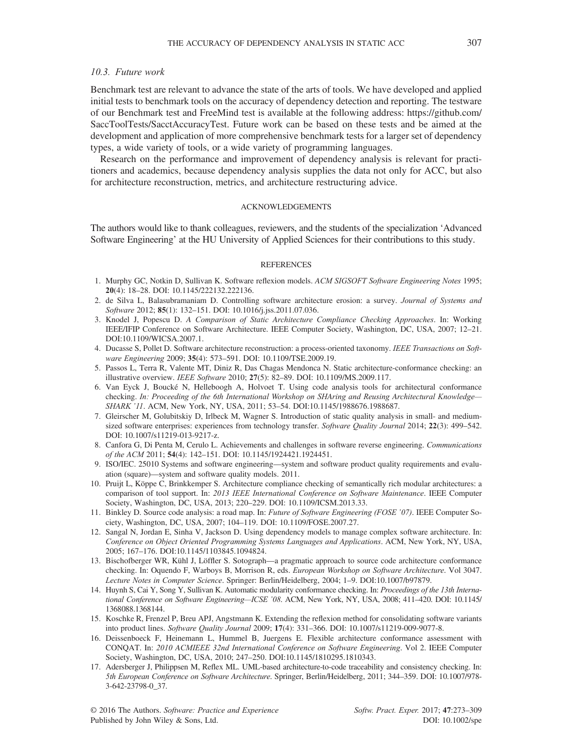## 10.3. Future work

Benchmark test are relevant to advance the state of the arts of tools. We have developed and applied initial tests to benchmark tools on the accuracy of dependency detection and reporting. The testware of our Benchmark test and FreeMind test is available at the following address: [https://github.com/](https://github.com/SaccToolTests/SacctAccuracyTest) [SaccToolTests/SacctAccuracyTest](https://github.com/SaccToolTests/SacctAccuracyTest). Future work can be based on these tests and be aimed at the development and application of more comprehensive benchmark tests for a larger set of dependency types, a wide variety of tools, or a wide variety of programming languages.

Research on the performance and improvement of dependency analysis is relevant for practitioners and academics, because dependency analysis supplies the data not only for ACC, but also for architecture reconstruction, metrics, and architecture restructuring advice.

#### ACKNOWLEDGEMENTS

The authors would like to thank colleagues, reviewers, and the students of the specialization 'Advanced Software Engineering' at the HU University of Applied Sciences for their contributions to this study.

#### REFERENCES

- 1. Murphy GC, Notkin D, Sullivan K. Software reflexion models. ACM SIGSOFT Software Engineering Notes 1995; 20(4): 18–28. DOI: [10.1145/222132.222136.](http://dx.doi.org/10.1145/222132.222136)
- 2. de Silva L, Balasubramaniam D. Controlling software architecture erosion: a survey. Journal of Systems and Software 2012; 85(1): 132–151. DOI: [10.1016/j.jss.2011.07.036.](http://dx.doi.org/10.1016/j.jss.2011.07.036)
- 3. Knodel J, Popescu D. A Comparison of Static Architecture Compliance Checking Approaches. In: Working IEEE/IFIP Conference on Software Architecture. IEEE Computer Society, Washington, DC, USA, 2007; 12–21. DOI:[10.1109/WICSA.2007.1.](http://dx.doi.org/10.1109/WICSA.2007.1)
- 4. Ducasse S, Pollet D. Software architecture reconstruction: a process-oriented taxonomy. IEEE Transactions on Software Engineering 2009; 35(4): 573–591. DOI: [10.1109/TSE.2009.19.](http://dx.doi.org/10.1109/TSE.2009.19)
- 5. Passos L, Terra R, Valente MT, Diniz R, Das Chagas Mendonca N. Static architecture-conformance checking: an illustrative overview. IEEE Software 2010; 27(5): 82–89. DOI: [10.1109/MS.2009.117.](http://dx.doi.org/10.1109/MS.2009.117)
- 6. Van Eyck J, Boucké N, Helleboogh A, Holvoet T. Using code analysis tools for architectural conformance checking. In: Proceeding of the 6th International Workshop on SHAring and Reusing Architectural Knowledge-SHARK '11. ACM, New York, NY, USA, 2011; 53–54. DOI[:10.1145/1988676.1988687.](http://dx.doi.org/10.1145/1988676.1988687)
- 7. Gleirscher M, Golubitskiy D, Irlbeck M, Wagner S. Introduction of static quality analysis in small- and mediumsized software enterprises: experiences from technology transfer. Software Quality Journal 2014; 22(3): 499-542. DOI: [10.1007/s11219-013-9217-z.](http://dx.doi.org/10.1007/s11219-013-9217-z)
- 8. Canfora G, Di Penta M, Cerulo L. Achievements and challenges in software reverse engineering. Communications of the ACM 2011; 54(4): 142–151. DOI: [10.1145/1924421.1924451.](http://dx.doi.org/10.1145/1924421.1924451)
- 9. ISO/IEC. 25010 Systems and software engineering—system and software product quality requirements and evaluation (square)—system and software quality models. 2011.
- 10. Pruijt L, Köppe C, Brinkkemper S. Architecture compliance checking of semantically rich modular architectures: a comparison of tool support. In: 2013 IEEE International Conference on Software Maintenance. IEEE Computer Society, Washington, DC, USA, 2013; 220–229. DOI: [10.1109/ICSM.2013.33.](http://dx.doi.org/10.1109/ICSM.2013.33)
- 11. Binkley D. Source code analysis: a road map. In: Future of Software Engineering (FOSE '07). IEEE Computer Society, Washington, DC, USA, 2007; 104–119. DOI: [10.1109/FOSE.2007.27.](http://dx.doi.org/10.1109/FOSE.2007.27)
- 12. Sangal N, Jordan E, Sinha V, Jackson D. Using dependency models to manage complex software architecture. In: Conference on Object Oriented Programming Systems Languages and Applications. ACM, New York, NY, USA, 2005; 167–176. DOI[:10.1145/1103845.1094824.](http://dx.doi.org/10.1145/1103845.1094824)
- 13. Bischofberger WR, Kühl J, Löffler S. Sotograph—a pragmatic approach to source code architecture conformance checking. In: Oquendo F, Warboys B, Morrison R, eds. European Workshop on Software Architecture. Vol 3047. Lecture Notes in Computer Science. Springer: Berlin/Heidelberg, 2004; 1–9. DOI:[10.1007/b97879.](http://dx.doi.org/10.1007/b97879)
- 14. Huynh S, Cai Y, Song Y, Sullivan K. Automatic modularity conformance checking. In: Proceedings of the 13th International Conference on Software Engineering—ICSE '08. ACM, New York, NY, USA, 2008; 411–420. DOI: [10.1145/](http://dx.doi.org/10.1145/1368088.1368144) [1368088.1368144.](http://dx.doi.org/10.1145/1368088.1368144)
- 15. Koschke R, Frenzel P, Breu APJ, Angstmann K. Extending the reflexion method for consolidating software variants into product lines. Software Quality Journal 2009; 17(4): 331–366. DOI: [10.1007/s11219-009-9077-8.](http://dx.doi.org/10.1007/s11219-009-9077-8)
- 16. Deissenboeck F, Heinemann L, Hummel B, Juergens E. Flexible architecture conformance assessment with CONQAT. In: 2010 ACMIEEE 32nd International Conference on Software Engineering. Vol 2. IEEE Computer Society, Washington, DC, USA, 2010; 247–250. DOI:[10.1145/1810295.1810343.](http://dx.doi.org/10.1145/1810295.1810343)
- 17. Adersberger J, Philippsen M, Reflex ML. UML-based architecture-to-code traceability and consistency checking. In: 5th European Conference on Software Architecture. Springer, Berlin/Heidelberg, 2011; 344–359. DOI: [10.1007/978-](http://dx.doi.org/10.1007/978-3-642-23798-0_37) [3-642-23798-0\\_37.](http://dx.doi.org/10.1007/978-3-642-23798-0_37)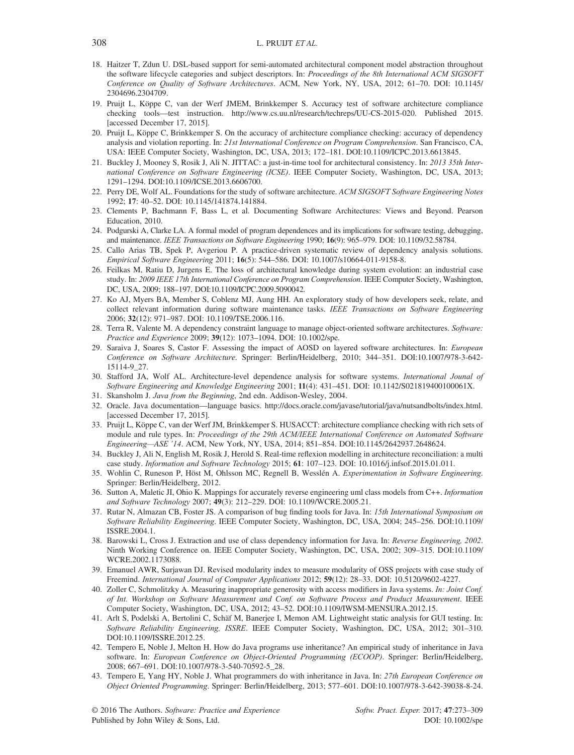- 18. Haitzer T, Zdun U. DSL-based support for semi-automated architectural component model abstraction throughout the software lifecycle categories and subject descriptors. In: Proceedings of the 8th International ACM SIGSOFT Conference on Quality of Software Architectures. ACM, New York, NY, USA, 2012; 61–70. DOI: [10.1145/](http://dx.doi.org/10.1145/2304696.2304709) [2304696.2304709.](http://dx.doi.org/10.1145/2304696.2304709)
- 19. Pruijt L, Köppe C, van der Werf JMEM, Brinkkemper S. Accuracy test of software architecture compliance checking tools—test instruction.<http://www.cs.uu.nl/research/techreps/UU-CS-2015-020>. Published 2015. [accessed December 17, 2015].
- 20. Pruijt L, Köppe C, Brinkkemper S. On the accuracy of architecture compliance checking: accuracy of dependency analysis and violation reporting. In: 21st International Conference on Program Comprehension. San Francisco, CA, USA: IEEE Computer Society, Washington, DC, USA, 2013; 172–181. DOI:[10.1109/ICPC.2013.6613845.](http://dx.doi.org/10.1109/ICPC.2013.6613845)
- 21. Buckley J, Mooney S, Rosik J, Ali N. JITTAC: a just-in-time tool for architectural consistency. In: 2013 35th International Conference on Software Engineering (ICSE). IEEE Computer Society, Washington, DC, USA, 2013; 1291–1294. DOI[:10.1109/ICSE.2013.6606700.](http://dx.doi.org/10.1109/ICSE.2013.6606700)
- 22. Perry DE, Wolf AL. Foundations for the study of software architecture. ACM SIGSOFT Software Engineering Notes 1992; 17: 40–52. DOI: [10.1145/141874.141884.](http://dx.doi.org/10.1145/141874.141884)
- 23. Clements P, Bachmann F, Bass L, et al. Documenting Software Architectures: Views and Beyond. Pearson Education, 2010.
- 24. Podgurski A, Clarke LA. A formal model of program dependences and its implications for software testing, debugging, and maintenance. IEEE Transactions on Software Engineering 1990; 16(9): 965–979. DOI: [10.1109/32.58784.](http://dx.doi.org/10.1109/32.58784)
- 25. Callo Arias TB, Spek P, Avgeriou P. A practice-driven systematic review of dependency analysis solutions. Empirical Software Engineering 2011; 16(5): 544–586. DOI: [10.1007/s10664-011-9158-8.](http://dx.doi.org/10.1007/s10664-011-9158-8)
- 26. Feilkas M, Ratiu D, Jurgens E. The loss of architectural knowledge during system evolution: an industrial case study. In: 2009 IEEE 17th International Conference on Program Comprehension. IEEE Computer Society, Washington, DC, USA, 2009; 188–197. DOI:[10.1109/ICPC.2009.5090042.](http://dx.doi.org/10.1109/ICPC.2009.5090042)
- 27. Ko AJ, Myers BA, Member S, Coblenz MJ, Aung HH. An exploratory study of how developers seek, relate, and collect relevant information during software maintenance tasks. IEEE Transactions on Software Engineering 2006; 32(12): 971–987. DOI: [10.1109/TSE.2006.116.](http://dx.doi.org/10.1109/TSE.2006.116)
- 28. Terra R, Valente M. A dependency constraint language to manage object-oriented software architectures. Software: Practice and Experience 2009; 39(12): 1073–1094. DOI: [10.1002/spe.](http://dx.doi.org/10.1002/spe)
- 29. Saraiva J, Soares S, Castor F. Assessing the impact of AOSD on layered software architectures. In: European Conference on Software Architecture. Springer: Berlin/Heidelberg, 2010; 344–351. DOI[:10.1007/978-3-642-](http://dx.doi.org/10.1007/978-3-642-15114-9_27) [15114-9\\_27.](http://dx.doi.org/10.1007/978-3-642-15114-9_27)
- 30. Stafford JA, Wolf AL. Architecture-level dependence analysis for software systems. International Jounal of Software Engineering and Knowledge Engineering 2001; 11(4): 431–451. DOI: [10.1142/S021819400100061X.](http://dx.doi.org/10.1142/S021819400100061X)
- 31. Skansholm J. Java from the Beginning, 2nd edn. Addison-Wesley, 2004.
- 32. Oracle. Java documentation—language basics. [http://docs.oracle.com/javase/tutorial/java/nutsandbolts/index.html.](http://docs.oracle.com/javase/tutorial/java/nutsandbolts/index.html) [accessed December 17, 2015].
- 33. Pruijt L, Köppe C, van der Werf JM, Brinkkemper S. HUSACCT: architecture compliance checking with rich sets of module and rule types. In: Proceedings of the 29th ACM/IEEE International Conference on Automated Software Engineering—ASE '14. ACM, New York, NY, USA, 2014; 851–854. DOI[:10.1145/2642937.2648624.](http://dx.doi.org/10.1145/2642937.2648624)
- 34. Buckley J, Ali N, English M, Rosik J, Herold S. Real-time reflexion modelling in architecture reconciliation: a multi case study. Information and Software Technology 2015; 61: 107–123. DOI: [10.1016/j.infsof.2015.01.011.](http://dx.doi.org/10.1016/j.infsof.2015.01.011)
- 35. Wohlin C, Runeson P, Höst M, Ohlsson MC, Regnell B, Wesslén A. Experimentation in Software Engineering. Springer: Berlin/Heidelberg, 2012.
- 36. Sutton A, Maletic JI, Ohio K. Mappings for accurately reverse engineering uml class models from C++. Information and Software Technology 2007; 49(3): 212–229. DOI: [10.1109/WCRE.2005.21.](http://dx.doi.org/10.1109/WCRE.2005.21)
- 37. Rutar N, Almazan CB, Foster JS. A comparison of bug finding tools for Java. In: 15th International Symposium on Software Reliability Engineering. IEEE Computer Society, Washington, DC, USA, 2004; 245–256. DOI[:10.1109/](http://dx.doi.org/10.1109/ISSRE.2004.1) [ISSRE.2004.1.](http://dx.doi.org/10.1109/ISSRE.2004.1)
- 38. Barowski L, Cross J. Extraction and use of class dependency information for Java. In: Reverse Engineering, 2002. Ninth Working Conference on. IEEE Computer Society, Washington, DC, USA, 2002; 309–315. DOI[:10.1109/](http://dx.doi.org/10.1109/WCRE.2002.1173088) [WCRE.2002.1173088.](http://dx.doi.org/10.1109/WCRE.2002.1173088)
- 39. Emanuel AWR, Surjawan DJ. Revised modularity index to measure modularity of OSS projects with case study of Freemind. International Journal of Computer Applications 2012; 59(12): 28–33. DOI: [10.5120/9602-4227.](http://dx.doi.org/10.5120/9602-4227)
- 40. Zoller C, Schmolitzky A. Measuring inappropriate generosity with access modifiers in Java systems. In: Joint Conf. of Int. Workshop on Software Measurement and Conf. on Software Process and Product Measurement. IEEE Computer Society, Washington, DC, USA, 2012; 43–52. DOI:[10.1109/IWSM-MENSURA.2012.15.](http://dx.doi.org/10.1109/IWSM-MENSURA.2012.15)
- 41. Arlt S, Podelski A, Bertolini C, Schäf M, Banerjee I, Memon AM. Lightweight static analysis for GUI testing. In: Software Reliability Engineering, ISSRE. IEEE Computer Society, Washington, DC, USA, 2012; 301–310. DOI[:10.1109/ISSRE.2012.25.](http://dx.doi.org/10.1109/ISSRE.2012.25)
- 42. Tempero E, Noble J, Melton H. How do Java programs use inheritance? An empirical study of inheritance in Java software. In: European Conference on Object-Oriented Programming (ECOOP). Springer: Berlin/Heidelberg, 2008; 667–691. DOI[:10.1007/978-3-540-70592-5\\_28.](http://dx.doi.org/10.1007/978-3-540-70592-5_28)
- 43. Tempero E, Yang HY, Noble J. What programmers do with inheritance in Java. In: 27th European Conference on Object Oriented Programming. Springer: Berlin/Heidelberg, 2013; 577–601. DOI:[10.1007/978-3-642-39038-8-24.](http://dx.doi.org/10.1007/978-3-642-39038-8-24)